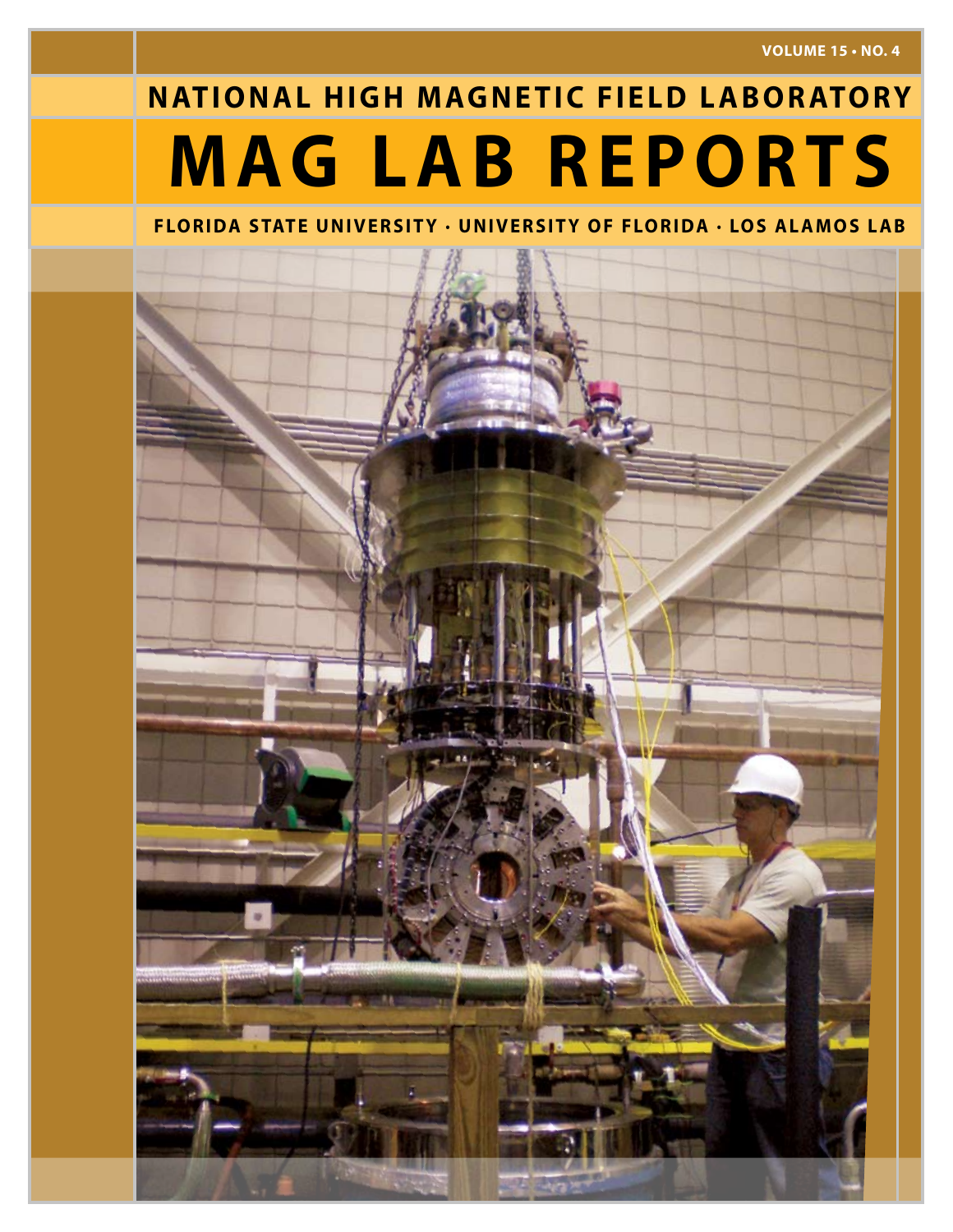**VOLUME 15 • No. 4**

# **MAG LAB REPORTS NATIONAL HIGH MAGNETIC FIELD LABORATORY**

# **FLORIDA STATE UNIVERSITY · UNIVERSITY OF FLORIDA · LOS ALAMOS LAB**

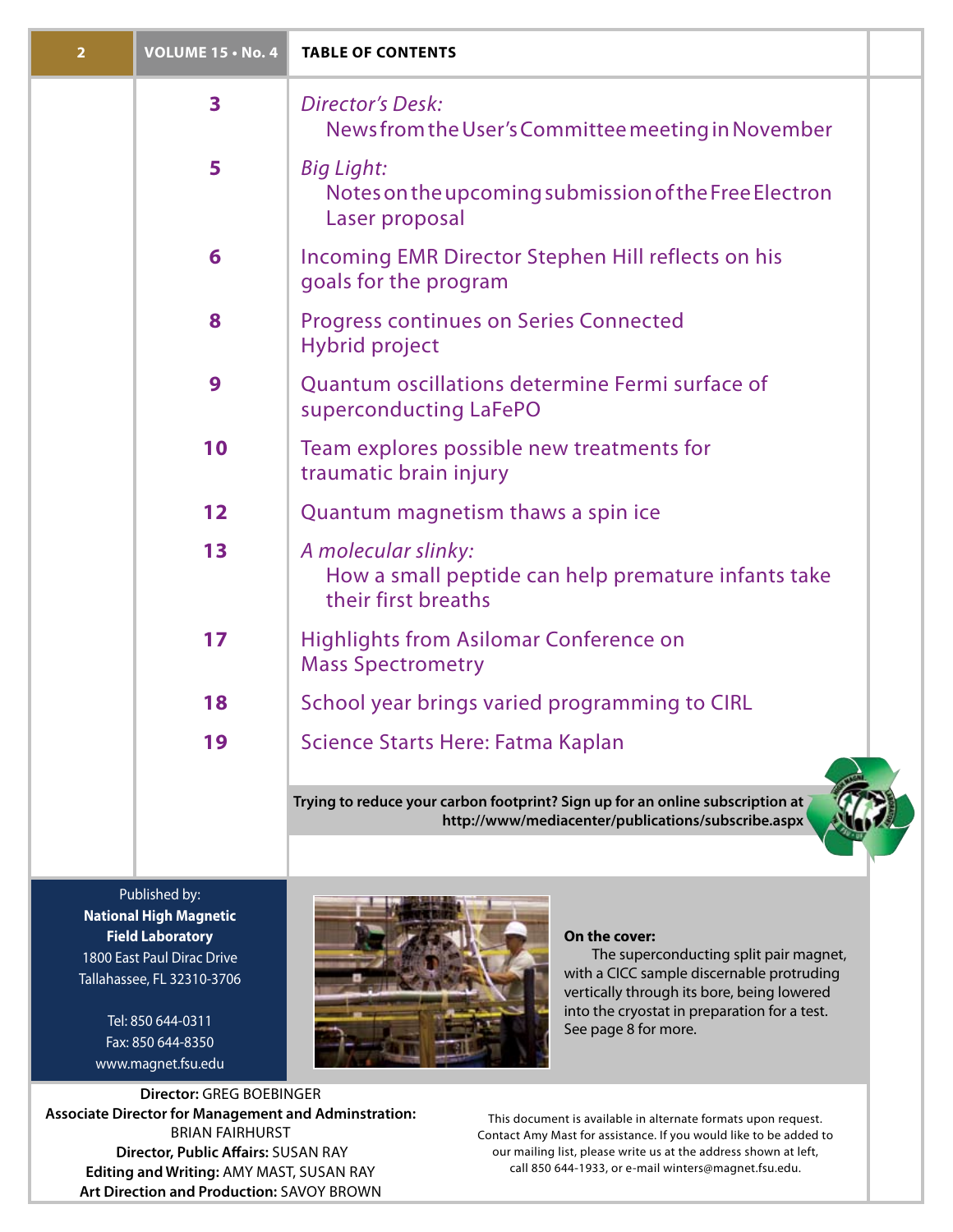| $\overline{2}$ | <b>VOLUME 15 · No. 4</b> | <b>TABLE OF CONTENTS</b>                                                                                                            |
|----------------|--------------------------|-------------------------------------------------------------------------------------------------------------------------------------|
|                | $\overline{\mathbf{3}}$  | <b>Director's Desk:</b><br>News from the User's Committee meeting in November                                                       |
|                | 5                        | <b>Big Light:</b><br>Notes on the upcoming submission of the Free Electron<br>Laser proposal                                        |
|                | 6                        | Incoming EMR Director Stephen Hill reflects on his<br>goals for the program                                                         |
|                | 8                        | <b>Progress continues on Series Connected</b><br><b>Hybrid project</b>                                                              |
|                | 9                        | Quantum oscillations determine Fermi surface of<br>superconducting LaFePO                                                           |
|                | 10                       | Team explores possible new treatments for<br>traumatic brain injury                                                                 |
|                | 12                       | Quantum magnetism thaws a spin ice                                                                                                  |
|                | 13                       | A molecular slinky:<br>How a small peptide can help premature infants take<br>their first breaths                                   |
|                | 17                       | <b>Highlights from Asilomar Conference on</b><br><b>Mass Spectrometry</b>                                                           |
|                | 18                       | School year brings varied programming to CIRL                                                                                       |
|                | 19                       | Science Starts Here: Fatma Kaplan                                                                                                   |
|                |                          | Trying to reduce your carbon footprint? Sign up for an online subscription at<br>http://www/mediacenter/publications/subscribe.aspx |

Published by: **National High Magnetic Field Laboratory** 1800 East Paul Dirac Drive Tallahassee, FL 32310-3706

> Tel: 850 644-0311 Fax: 850 644-8350 www.magnet.fsu.edu



### **On the cover:**

The superconducting split pair magnet, with a CICC sample discernable protruding vertically through its bore, being lowered into the cryostat in preparation for a test. See page 8 for more.

**Director: GREG BOEBINGER Associate Director for Management and Adminstration:** BRIAN FAIRHURST  **Director, Public Affairs:** Susan Ray **Editing and Writing:** AMY MAST, Susan Ray **Art Direction and Production:** savoy brown

This document is available in alternate formats upon request. Contact Amy Mast for assistance. If you would like to be added to our mailing list, please write us at the address shown at left, call 850 644-1933, or e-mail winters@magnet.fsu.edu.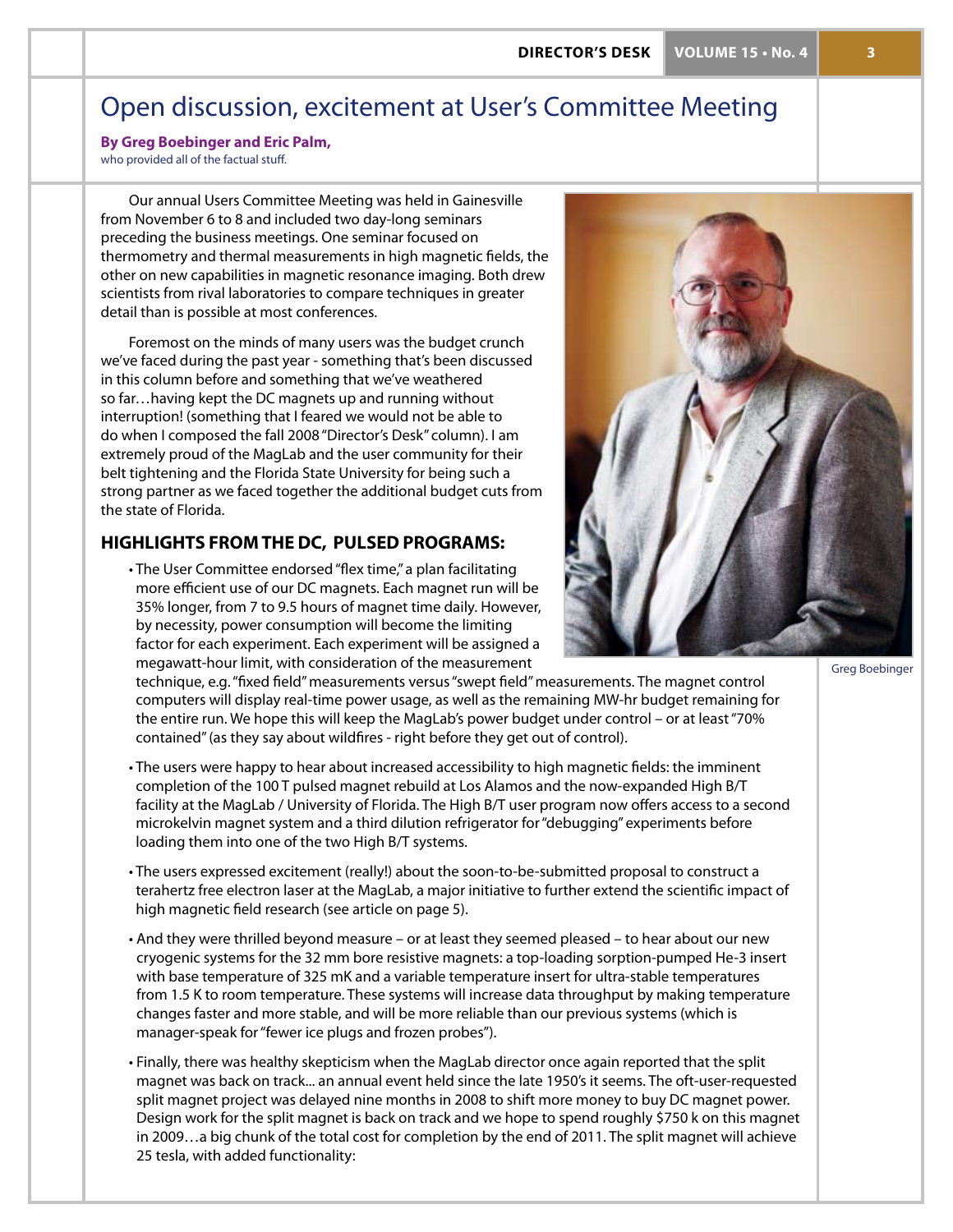# Open discussion, excitement at User's Committee Meeting

**By Greg Boebinger and Eric Palm,** 

who provided all of the factual stuff.

Our annual Users Committee Meeting was held in Gainesville from November 6 to 8 and included two day-long seminars preceding the business meetings. One seminar focused on thermometry and thermal measurements in high magnetic fields, the other on new capabilities in magnetic resonance imaging. Both drew scientists from rival laboratories to compare techniques in greater detail than is possible at most conferences.

Foremost on the minds of many users was the budget crunch we've faced during the past year - something that's been discussed in this column before and something that we've weathered so far…having kept the DC magnets up and running without interruption! (something that I feared we would not be able to do when I composed the fall 2008 "Director's Desk" column). I am extremely proud of the MagLab and the user community for their belt tightening and the Florida State University for being such a strong partner as we faced together the additional budget cuts from the state of Florida.

# **highlights from the DC, pulsed programs:**

• The User Committee endorsed "flex time," a plan facilitating more efficient use of our DC magnets. Each magnet run will be 35% longer, from 7 to 9.5 hours of magnet time daily. However, by necessity, power consumption will become the limiting factor for each experiment. Each experiment will be assigned a megawatt-hour limit, with consideration of the measurement



Greg Boebinger

technique, e.g. "fixed field" measurements versus "swept field" measurements. The magnet control computers will display real-time power usage, as well as the remaining MW-hr budget remaining for the entire run. We hope this will keep the MagLab's power budget under control – or at least "70% contained" (as they say about wildfires - right before they get out of control).

- The users were happy to hear about increased accessibility to high magnetic fields: the imminent completion of the 100 T pulsed magnet rebuild at Los Alamos and the now-expanded High B/T facility at the MagLab / University of Florida. The High B/T user program now offers access to a second microkelvin magnet system and a third dilution refrigerator for "debugging" experiments before loading them into one of the two High B/T systems.
- The users expressed excitement (really!) about the soon-to-be-submitted proposal to construct a terahertz free electron laser at the MagLab, a major initiative to further extend the scientific impact of high magnetic field research (see article on page 5).
- And they were thrilled beyond measure or at least they seemed pleased to hear about our new cryogenic systems for the 32 mm bore resistive magnets: a top-loading sorption-pumped He-3 insert with base temperature of 325 mK and a variable temperature insert for ultra-stable temperatures from 1.5 K to room temperature. These systems will increase data throughput by making temperature changes faster and more stable, and will be more reliable than our previous systems (which is manager-speak for "fewer ice plugs and frozen probes").
- Finally, there was healthy skepticism when the MagLab director once again reported that the split magnet was back on track... an annual event held since the late 1950's it seems. The oft-user-requested split magnet project was delayed nine months in 2008 to shift more money to buy DC magnet power. Design work for the split magnet is back on track and we hope to spend roughly \$750 k on this magnet in 2009…a big chunk of the total cost for completion by the end of 2011. The split magnet will achieve 25 tesla, with added functionality: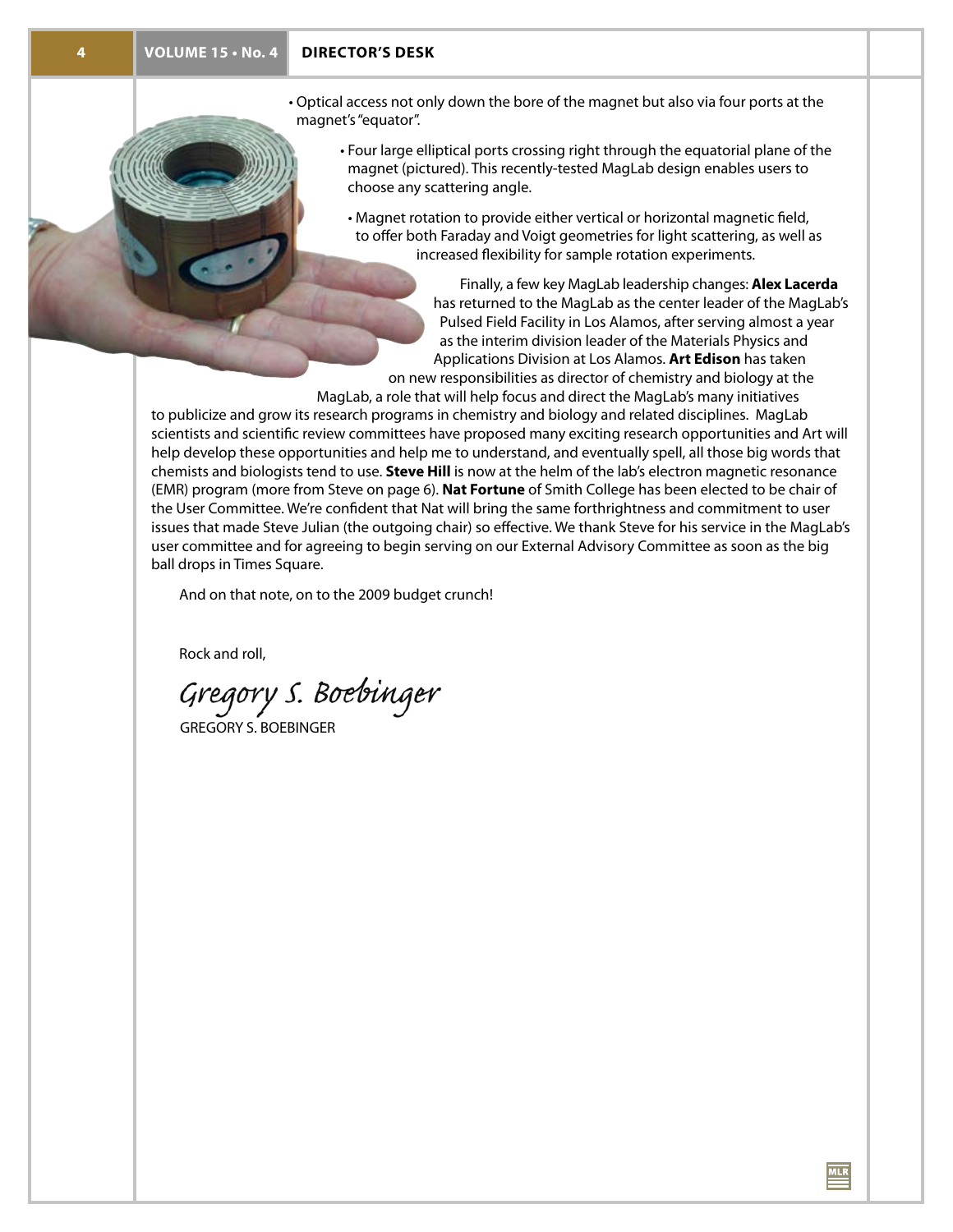- Optical access not only down the bore of the magnet but also via four ports at the magnet's "equator".
	- Four large elliptical ports crossing right through the equatorial plane of the magnet (pictured). This recently-tested MagLab design enables users to choose any scattering angle.
	- Magnet rotation to provide either vertical or horizontal magnetic field, to offer both Faraday and Voigt geometries for light scattering, as well as increased flexibility for sample rotation experiments.

Finally, a few key MagLab leadership changes: **Alex Lacerda** has returned to the MagLab as the center leader of the MagLab's Pulsed Field Facility in Los Alamos, after serving almost a year as the interim division leader of the Materials Physics and Applications Division at Los Alamos. **Art Edison** has taken on new responsibilities as director of chemistry and biology at the

 $MLR$ 

MagLab, a role that will help focus and direct the MagLab's many initiatives

to publicize and grow its research programs in chemistry and biology and related disciplines. MagLab scientists and scientific review committees have proposed many exciting research opportunities and Art will help develop these opportunities and help me to understand, and eventually spell, all those big words that chemists and biologists tend to use. **Steve Hill** is now at the helm of the lab's electron magnetic resonance (EMR) program (more from Steve on page 6). **Nat Fortune** of Smith College has been elected to be chair of the User Committee. We're confident that Nat will bring the same forthrightness and commitment to user issues that made Steve Julian (the outgoing chair) so effective. We thank Steve for his service in the MagLab's user committee and for agreeing to begin serving on our External Advisory Committee as soon as the big ball drops in Times Square.

And on that note, on to the 2009 budget crunch!

Rock and roll,

Gregory S. Bo<del>e</del>binger

GREGORY S. BOEBINGER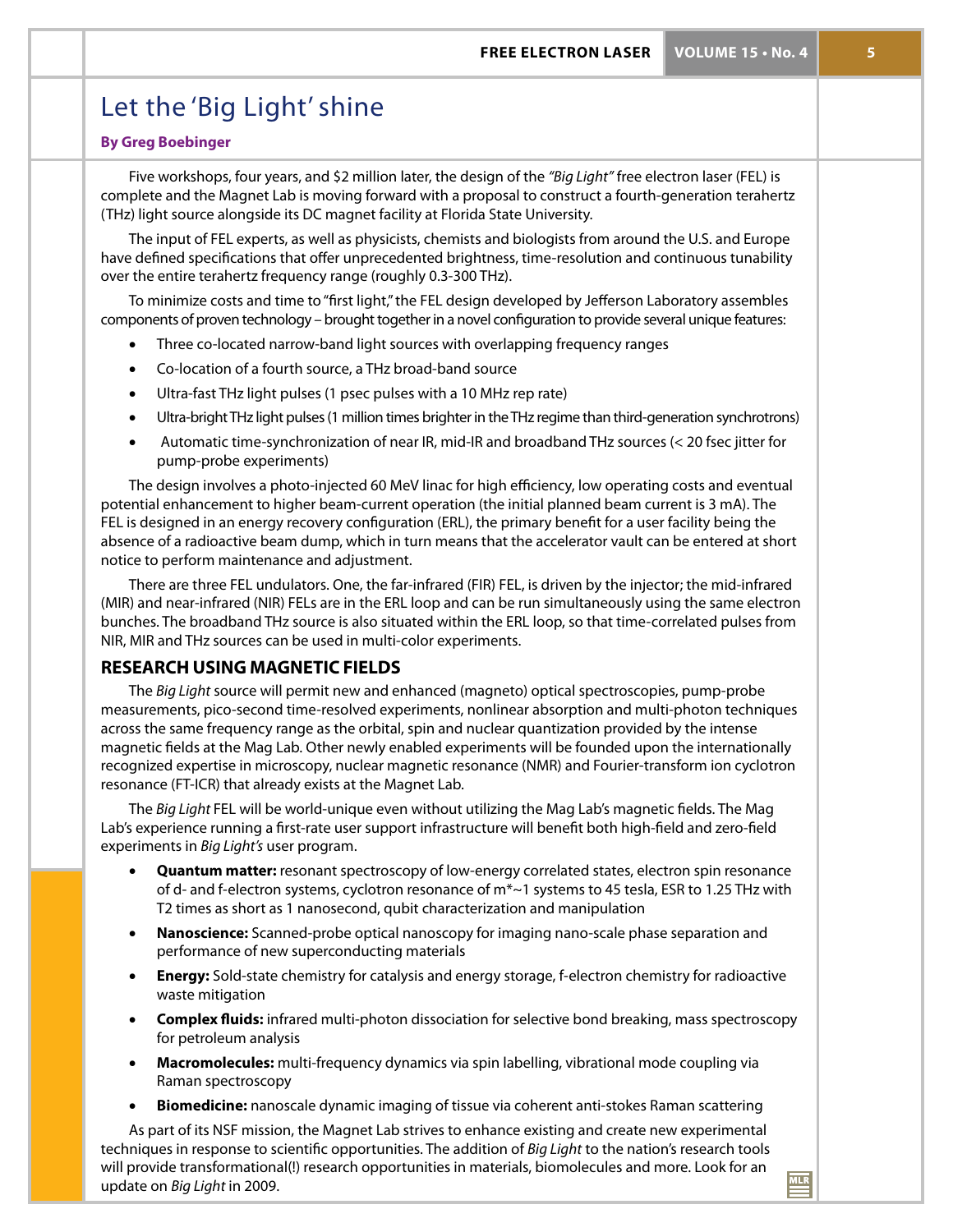# Let the 'Big Light' shine

## **By Greg Boebinger**

Five workshops, four years, and \$2 million later, the design of the *"Big Light"* free electron laser (FEL) is complete and the Magnet Lab is moving forward with a proposal to construct a fourth-generation terahertz (THz) light source alongside its DC magnet facility at Florida State University.

The input of FEL experts, as well as physicists, chemists and biologists from around the U.S. and Europe have defined specifications that offer unprecedented brightness, time-resolution and continuous tunability over the entire terahertz frequency range (roughly 0.3-300 THz).

To minimize costs and time to "first light," the FEL design developed by Jefferson Laboratory assembles components of proven technology – brought together in a novel configuration to provide several unique features:

- Three co-located narrow-band light sources with overlapping frequency ranges
- Co-location of a fourth source, a THz broad-band source
- Ultra-fast THz light pulses (1 psec pulses with a 10 MHz rep rate)
- Ultra-bright THz light pulses (1 million times brighter in the THz regime than third-generation synchrotrons)
- Automatic time-synchronization of near IR, mid-IR and broadband THz sources (< 20 fsec jitter for pump-probe experiments)

The design involves a photo-injected 60 MeV linac for high efficiency, low operating costs and eventual potential enhancement to higher beam-current operation (the initial planned beam current is 3 mA). The FEL is designed in an energy recovery configuration (ERL), the primary benefit for a user facility being the absence of a radioactive beam dump, which in turn means that the accelerator vault can be entered at short notice to perform maintenance and adjustment.

There are three FEL undulators. One, the far-infrared (FIR) FEL, is driven by the injector; the mid-infrared (MIR) and near-infrared (NIR) FELs are in the ERL loop and can be run simultaneously using the same electron bunches. The broadband THz source is also situated within the ERL loop, so that time-correlated pulses from NIR, MIR and THz sources can be used in multi-color experiments.

# **Research using magnetic fields**

The *Big Light* source will permit new and enhanced (magneto) optical spectroscopies, pump-probe measurements, pico-second time-resolved experiments, nonlinear absorption and multi-photon techniques across the same frequency range as the orbital, spin and nuclear quantization provided by the intense magnetic fields at the Mag Lab. Other newly enabled experiments will be founded upon the internationally recognized expertise in microscopy, nuclear magnetic resonance (NMR) and Fourier-transform ion cyclotron resonance (FT-ICR) that already exists at the Magnet Lab.

The *Big Light* FEL will be world-unique even without utilizing the Mag Lab's magnetic fields. The Mag Lab's experience running a first-rate user support infrastructure will benefit both high-field and zero-field experiments in *Big Light's* user program.

- • **Quantum matter:** resonant spectroscopy of low-energy correlated states, electron spin resonance of d- and f-electron systems, cyclotron resonance of m\*~1 systems to 45 tesla, ESR to 1.25 THz with T2 times as short as 1 nanosecond, qubit characterization and manipulation
- • **Nanoscience:** Scanned-probe optical nanoscopy for imaging nano-scale phase separation and performance of new superconducting materials
- **Energy:** Sold-state chemistry for catalysis and energy storage, f-electron chemistry for radioactive waste mitigation
- **Complex fluids:** infrared multi-photon dissociation for selective bond breaking, mass spectroscopy for petroleum analysis
- **Macromolecules:** multi-frequency dynamics via spin labelling, vibrational mode coupling via Raman spectroscopy
- **Biomedicine:** nanoscale dynamic imaging of tissue via coherent anti-stokes Raman scattering

As part of its NSF mission, the Magnet Lab strives to enhance existing and create new experimental techniques in response to scientific opportunities. The addition of *Big Light* to the nation's research tools will provide transformational(!) research opportunities in materials, biomolecules and more. Look for an update on *Big Light* in 2009.

 $MLR$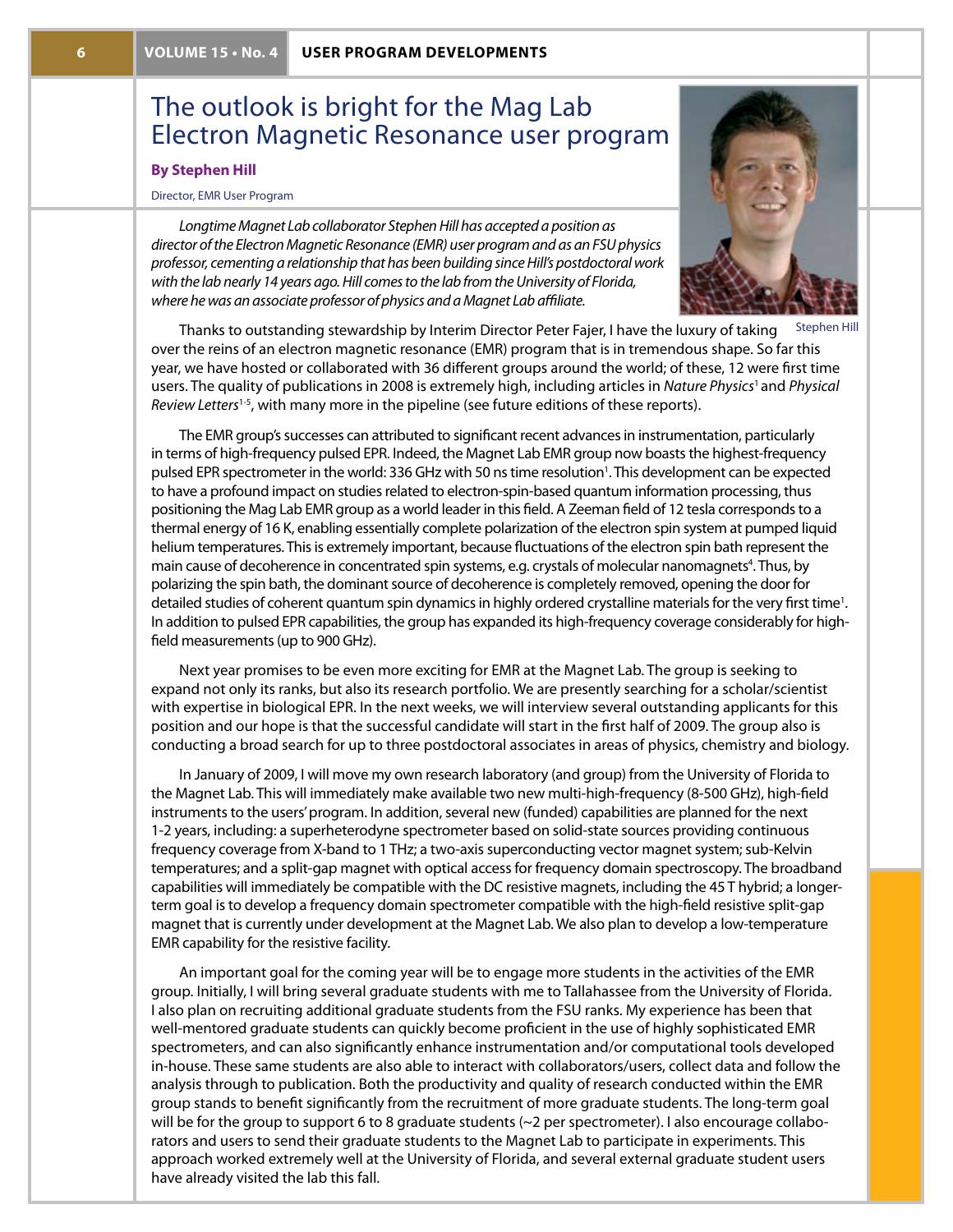# The outlook is bright for the Mag Lab Electron Magnetic Resonance user program

### **By Stephen Hill**

#### Director, EMR User Program

*Longtime Magnet Lab collaborator Stephen Hill has accepted a position as director of the Electron Magnetic Resonance (EMR) user program and as an FSU physics professor, cementing a relationship that has been building since Hill's postdoctoral work with the lab nearly 14 years ago. Hill comes to the lab from the University of Florida, where he was an associate professor of physics and a Magnet Lab affiliate.*



Stephen Hill

Thanks to outstanding stewardship by Interim Director Peter Fajer, I have the luxury of taking over the reins of an electron magnetic resonance (EMR) program that is in tremendous shape. So far this year, we have hosted or collaborated with 36 different groups around the world; of these, 12 were first time users. The quality of publications in 2008 is extremely high, including articles in *Nature Physics*1 and *Physical Review Letters*1-5, with many more in the pipeline (see future editions of these reports).

The EMR group's successes can attributed to significant recent advances in instrumentation, particularly in terms of high-frequency pulsed EPR. Indeed, the Magnet Lab EMR group now boasts the highest-frequency pulsed EPR spectrometer in the world: 336 GHz with 50 ns time resolution<sup>1</sup>. This development can be expected to have a profound impact on studies related to electron-spin-based quantum information processing, thus positioning the Mag Lab EMR group as a world leader in this field. A Zeeman field of 12 tesla corresponds to a thermal energy of 16 K, enabling essentially complete polarization of the electron spin system at pumped liquid helium temperatures. This is extremely important, because fluctuations of the electron spin bath represent the main cause of decoherence in concentrated spin systems, e.g. crystals of molecular nanomagnets<sup>4</sup>. Thus, by polarizing the spin bath, the dominant source of decoherence is completely removed, opening the door for detailed studies of coherent quantum spin dynamics in highly ordered crystalline materials for the very first time<sup>1</sup>. In addition to pulsed EPR capabilities, the group has expanded its high-frequency coverage considerably for highfield measurements (up to 900 GHz).

Next year promises to be even more exciting for EMR at the Magnet Lab. The group is seeking to expand not only its ranks, but also its research portfolio. We are presently searching for a scholar/scientist with expertise in biological EPR. In the next weeks, we will interview several outstanding applicants for this position and our hope is that the successful candidate will start in the first half of 2009. The group also is conducting a broad search for up to three postdoctoral associates in areas of physics, chemistry and biology.

In January of 2009, I will move my own research laboratory (and group) from the University of Florida to the Magnet Lab. This will immediately make available two new multi-high-frequency (8-500 GHz), high-field instruments to the users' program. In addition, several new (funded) capabilities are planned for the next 1-2 years, including: a superheterodyne spectrometer based on solid-state sources providing continuous frequency coverage from X-band to 1 THz; a two-axis superconducting vector magnet system; sub-Kelvin temperatures; and a split-gap magnet with optical access for frequency domain spectroscopy. The broadband capabilities will immediately be compatible with the DC resistive magnets, including the 45 T hybrid; a longerterm goal is to develop a frequency domain spectrometer compatible with the high-field resistive split-gap magnet that is currently under development at the Magnet Lab. We also plan to develop a low-temperature EMR capability for the resistive facility.

An important goal for the coming year will be to engage more students in the activities of the EMR group. Initially, I will bring several graduate students with me to Tallahassee from the University of Florida. I also plan on recruiting additional graduate students from the FSU ranks. My experience has been that well-mentored graduate students can quickly become proficient in the use of highly sophisticated EMR spectrometers, and can also significantly enhance instrumentation and/or computational tools developed in-house. These same students are also able to interact with collaborators/users, collect data and follow the analysis through to publication. Both the productivity and quality of research conducted within the EMR group stands to benefit significantly from the recruitment of more graduate students. The long-term goal will be for the group to support 6 to 8 graduate students (~2 per spectrometer). I also encourage collaborators and users to send their graduate students to the Magnet Lab to participate in experiments. This approach worked extremely well at the University of Florida, and several external graduate student users have already visited the lab this fall.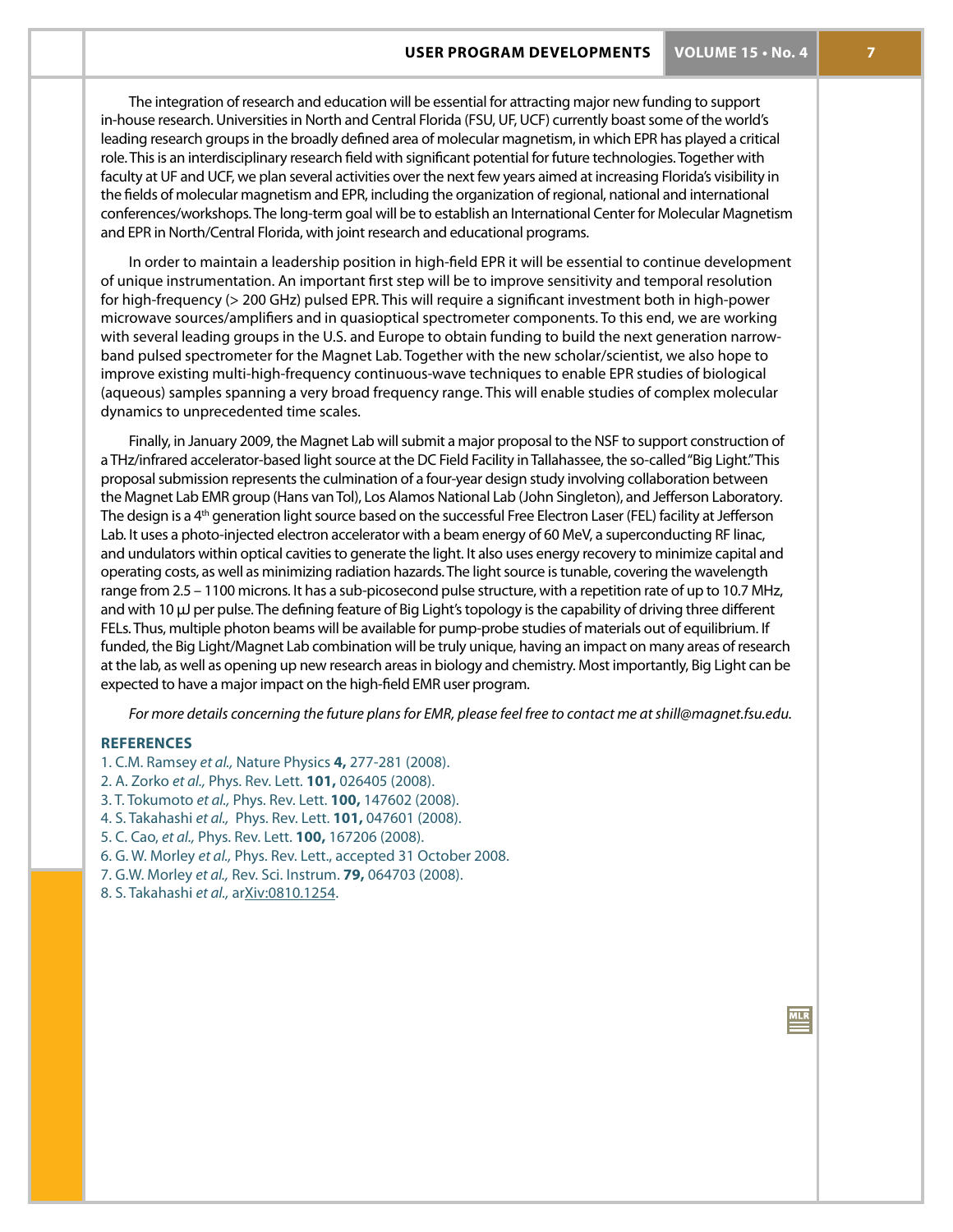The integration of research and education will be essential for attracting major new funding to support in-house research. Universities in North and Central Florida (FSU, UF, UCF) currently boast some of the world's leading research groups in the broadly defined area of molecular magnetism, in which EPR has played a critical role. This is an interdisciplinary research field with significant potential for future technologies. Together with faculty at UF and UCF, we plan several activities over the next few years aimed at increasing Florida's visibility in the fields of molecular magnetism and EPR, including the organization of regional, national and international conferences/workshops. The long-term goal will be to establish an International Center for Molecular Magnetism and EPR in North/Central Florida, with joint research and educational programs.

In order to maintain a leadership position in high-field EPR it will be essential to continue development of unique instrumentation. An important first step will be to improve sensitivity and temporal resolution for high-frequency (> 200 GHz) pulsed EPR. This will require a significant investment both in high-power microwave sources/amplifiers and in quasioptical spectrometer components. To this end, we are working with several leading groups in the U.S. and Europe to obtain funding to build the next generation narrowband pulsed spectrometer for the Magnet Lab. Together with the new scholar/scientist, we also hope to improve existing multi-high-frequency continuous-wave techniques to enable EPR studies of biological (aqueous) samples spanning a very broad frequency range. This will enable studies of complex molecular dynamics to unprecedented time scales.

Finally, in January 2009, the Magnet Lab will submit a major proposal to the NSF to support construction of a THz/infrared accelerator-based light source at the DC Field Facility in Tallahassee, the so-called "Big Light." This proposal submission represents the culmination of a four-year design study involving collaboration between the Magnet Lab EMR group (Hans van Tol), Los Alamos National Lab (John Singleton), and Jefferson Laboratory. The design is a 4<sup>th</sup> generation light source based on the successful Free Electron Laser (FEL) facility at Jefferson Lab. It uses a photo-injected electron accelerator with a beam energy of 60 MeV, a superconducting RF linac, and undulators within optical cavities to generate the light. It also uses energy recovery to minimize capital and operating costs, as well as minimizing radiation hazards. The light source is tunable, covering the wavelength range from 2.5 – 1100 microns. It has a sub-picosecond pulse structure, with a repetition rate of up to 10.7 MHz, and with 10 μJ per pulse. The defining feature of Big Light's topology is the capability of driving three different FELs. Thus, multiple photon beams will be available for pump-probe studies of materials out of equilibrium. If funded, the Big Light/Magnet Lab combination will be truly unique, having an impact on many areas of research at the lab, as well as opening up new research areas in biology and chemistry. Most importantly, Big Light can be expected to have a major impact on the high-field EMR user program.

*For more details concerning the future plans for EMR, please feel free to contact me at shill@magnet.fsu.edu.*

#### **References**

- 1. C.M. Ramsey *et al.,* Nature Physics **4,** 277-281 (2008).
- 2. A. Zorko *et al.,* Phys. Rev. Lett. **101,** 026405 (2008).
- 3. T. Tokumoto *et al.,* Phys. Rev. Lett. **100,** 147602 (2008).
- 4. S. Takahashi *et al.,* Phys. Rev. Lett. **101,** 047601 (2008).
- 5. C. Cao, *et al.,* Phys. Rev. Lett. **100,** 167206 (2008).
- 6. G. W. Morley *et al.,* Phys. Rev. Lett., accepted 31 October 2008.
- 7. G.W. Morley *et al.,* Rev. Sci. Instrum. **79,** 064703 (2008).
- 8. S. Takahashi *et al.,* arXiv:0810.1254.

 $MLR$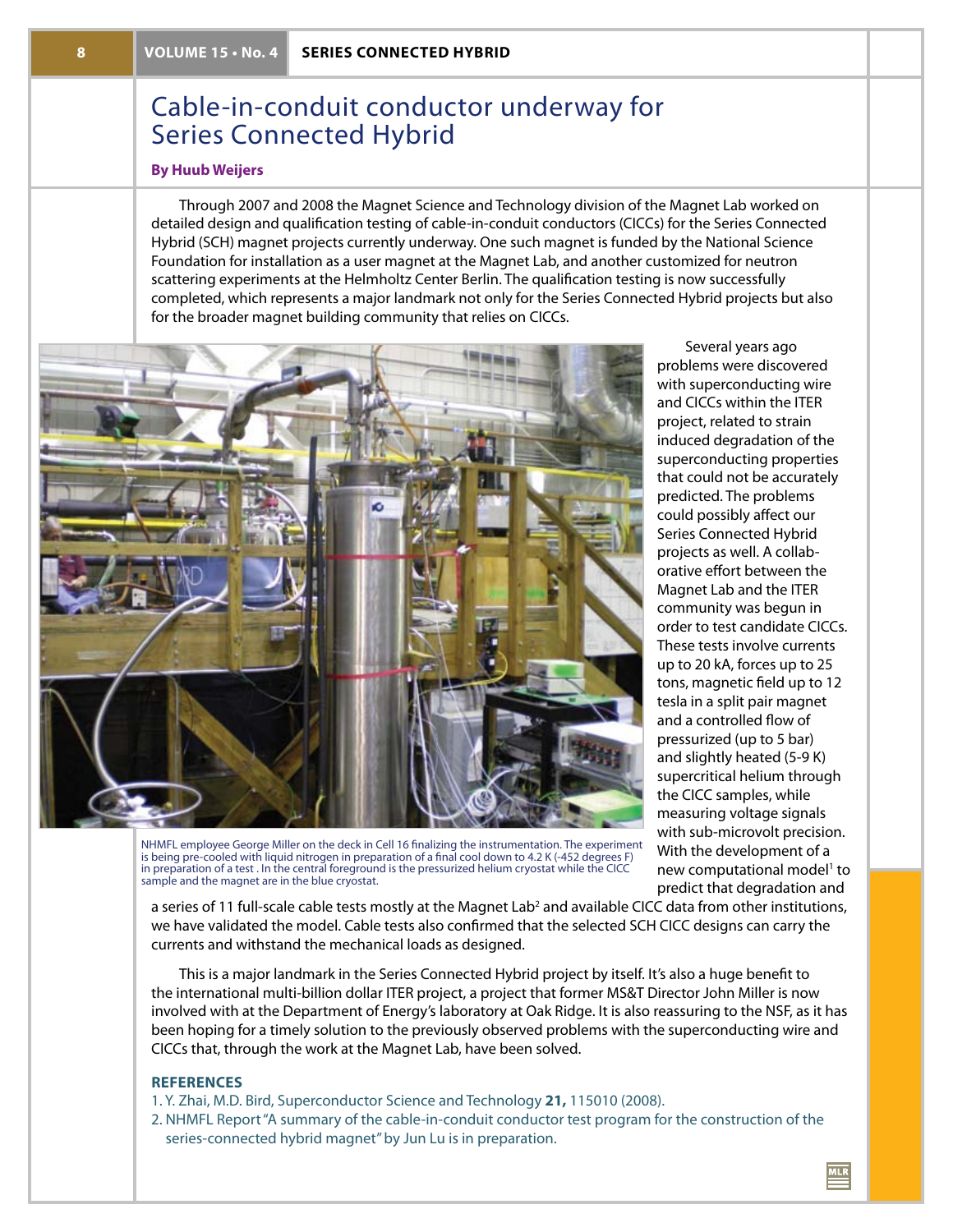# Cable-in-conduit conductor underway for Series Connected Hybrid

### **By Huub Weijers**

Through 2007 and 2008 the Magnet Science and Technology division of the Magnet Lab worked on detailed design and qualification testing of cable-in-conduit conductors (CICCs) for the Series Connected Hybrid (SCH) magnet projects currently underway. One such magnet is funded by the National Science Foundation for installation as a user magnet at the Magnet Lab, and another customized for neutron scattering experiments at the Helmholtz Center Berlin. The qualification testing is now successfully completed, which represents a major landmark not only for the Series Connected Hybrid projects but also for the broader magnet building community that relies on CICCs.



Several years ago problems were discovered with superconducting wire and CICCs within the ITER project, related to strain induced degradation of the superconducting properties that could not be accurately predicted. The problems could possibly affect our Series Connected Hybrid projects as well. A collaborative effort between the Magnet Lab and the ITER community was begun in order to test candidate CICCs. These tests involve currents up to 20 kA, forces up to 25 tons, magnetic field up to 12 tesla in a split pair magnet and a controlled flow of pressurized (up to 5 bar) and slightly heated (5-9 K) supercritical helium through the CICC samples, while measuring voltage signals with sub-microvolt precision. With the development of a new computational model<sup>1</sup> to predict that degradation and

NHMFL employee George Miller on the deck in Cell 16 finalizing the instrumentation. The experiment is being pre-cooled with liquid nitrogen in preparation of a final cool down to 4.2 K (-452 degrees F) in preparation of a test . In the central foreground is the pressurized helium cryostat while the CICC sample and the magnet are in the blue cryostat.

a series of 11 full-scale cable tests mostly at the Magnet Lab<sup>2</sup> and available CICC data from other institutions, we have validated the model. Cable tests also confirmed that the selected SCH CICC designs can carry the currents and withstand the mechanical loads as designed.

This is a major landmark in the Series Connected Hybrid project by itself. It's also a huge benefit to the international multi-billion dollar ITER project, a project that former MS&T Director John Miller is now involved with at the Department of Energy's laboratory at Oak Ridge. It is also reassuring to the NSF, as it has been hoping for a timely solution to the previously observed problems with the superconducting wire and CICCs that, through the work at the Magnet Lab, have been solved.

#### **References**

- 1. Y. Zhai, M.D. Bird, Superconductor Science and Technology **21,** 115010 (2008).
- 2. NHMFL Report "A summary of the cable-in-conduit conductor test program for the construction of the series-connected hybrid magnet" by Jun Lu is in preparation.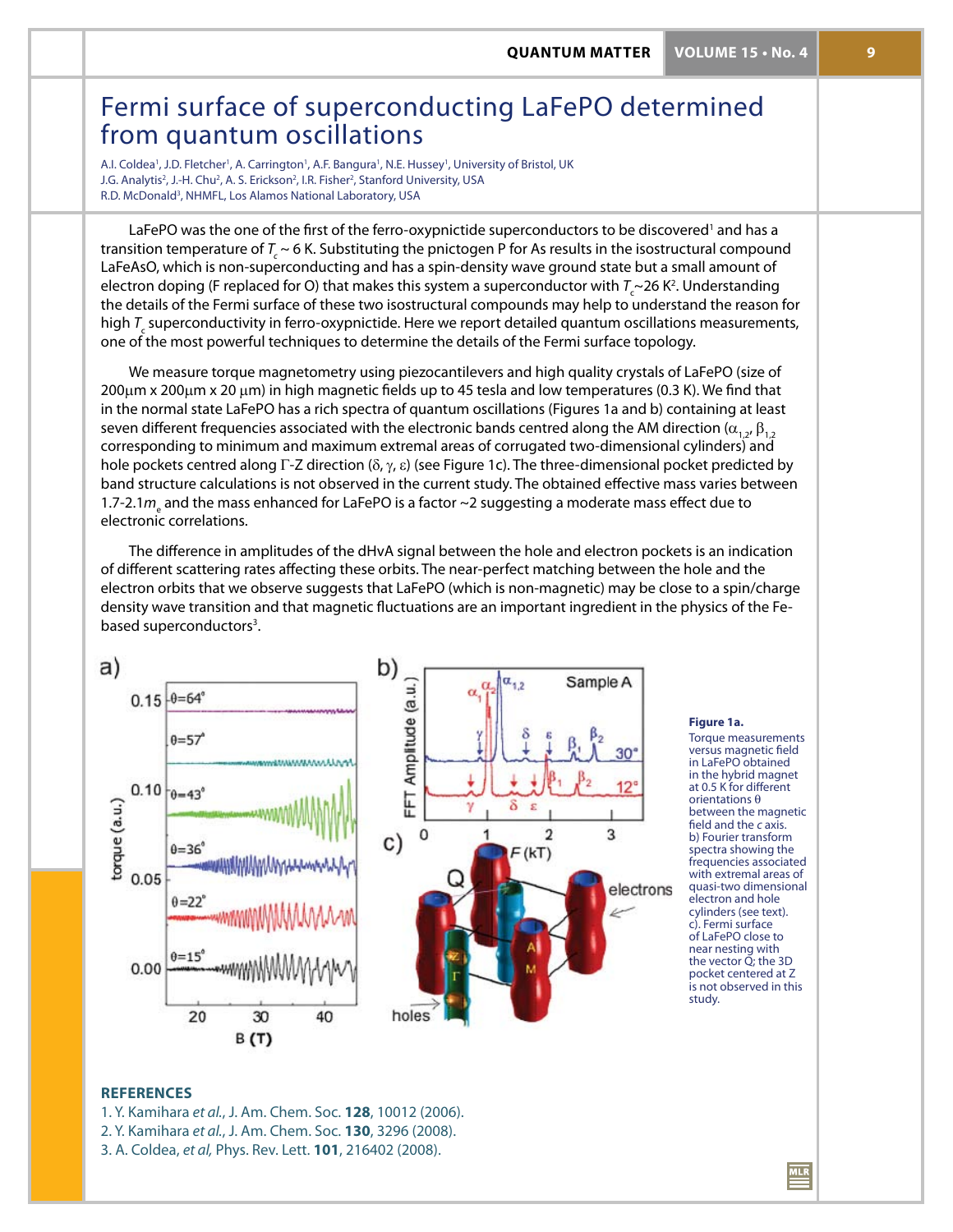# Fermi surface of superconducting LaFePO determined from quantum oscillations

A.I. Coldea<sup>1</sup>, J.D. Fletcher<sup>1</sup>, A. Carrington<sup>1</sup>, A.F. Bangura<sup>1</sup>, N.E. Hussey<sup>1</sup>, University of Bristol, UK J.G. Analytis<sup>2</sup>, J.-H. Chu<sup>2</sup>, A. S. Erickson<sup>2</sup>, I.R. Fisher<sup>2</sup>, Stanford University, USA R.D. McDonald<sup>3</sup>, NHMFL, Los Alamos National Laboratory, USA

LaFePO was the one of the first of the ferro-oxypnictide superconductors to be discovered<sup>1</sup> and has a transition temperature of  $T_c \sim 6$  K. Substituting the pnictogen P for As results in the isostructural compound LaFeAsO, which is non-superconducting and has a spin-density wave ground state but a small amount of electron doping (F replaced for O) that makes this system a superconductor with  $\mathcal{T}_{\text{c}}$ ~26 K<sup>2</sup>. Understanding the details of the Fermi surface of these two isostructural compounds may help to understand the reason for high *T<sub>c</sub>* superconductivity in ferro-oxypnictide. Here we report detailed quantum oscillations measurements, one of the most powerful techniques to determine the details of the Fermi surface topology.

We measure torque magnetometry using piezocantilevers and high quality crystals of LaFePO (size of 200µm x 200µm x 20 µm) in high magnetic fields up to 45 tesla and low temperatures (0.3 K). We find that in the normal state LaFePO has a rich spectra of quantum oscillations (Figures 1a and b) containing at least seven different frequencies associated with the electronic bands centred along the AM direction ( $\alpha_1$ ,  $\beta_1$ , corresponding to minimum and maximum extremal areas of corrugated two-dimensional cylinders) and hole pockets centred along Γ-Z direction ( $\delta$ ,  $\gamma$ ,  $\varepsilon$ ) (see Figure 1c). The three-dimensional pocket predicted by band structure calculations is not observed in the current study. The obtained effective mass varies between 1.7-2.1 $m_{\scriptscriptstyle\rm e}$  and the mass enhanced for LaFePO is a factor ~2 suggesting a moderate mass effect due to electronic correlations.

The difference in amplitudes of the dHvA signal between the hole and electron pockets is an indication of different scattering rates affecting these orbits. The near-perfect matching between the hole and the electron orbits that we observe suggests that LaFePO (which is non-magnetic) may be close to a spin/charge density wave transition and that magnetic fluctuations are an important ingredient in the physics of the Febased superconductors<sup>3</sup>.



#### **Figure 1a.**

Torque measurements versus magnetic field in LaFePO obtained in the hybrid magnet at 0.5 K for different orientations θ between the magnetic field and the *c* axis. b) Fourier transform spectra showing the frequencies associated with extremal areas of quasi-two dimensional electron and hole cylinders (see text). c). Fermi surface of LaFePO close to near nesting with the vector Q; the 3D pocket centered at Z is not observed in this study.

### **REFERENCES**

- 1. Y. Kamihara *et al.*, J. Am. Chem. Soc. **128**, 10012 (2006). 2. Y. Kamihara *et al.*, J. Am. Chem. Soc. **130**, 3296 (2008).
- 
- 3. A. Coldea, *et al,* Phys. Rev. Lett. **101**, 216402 (2008).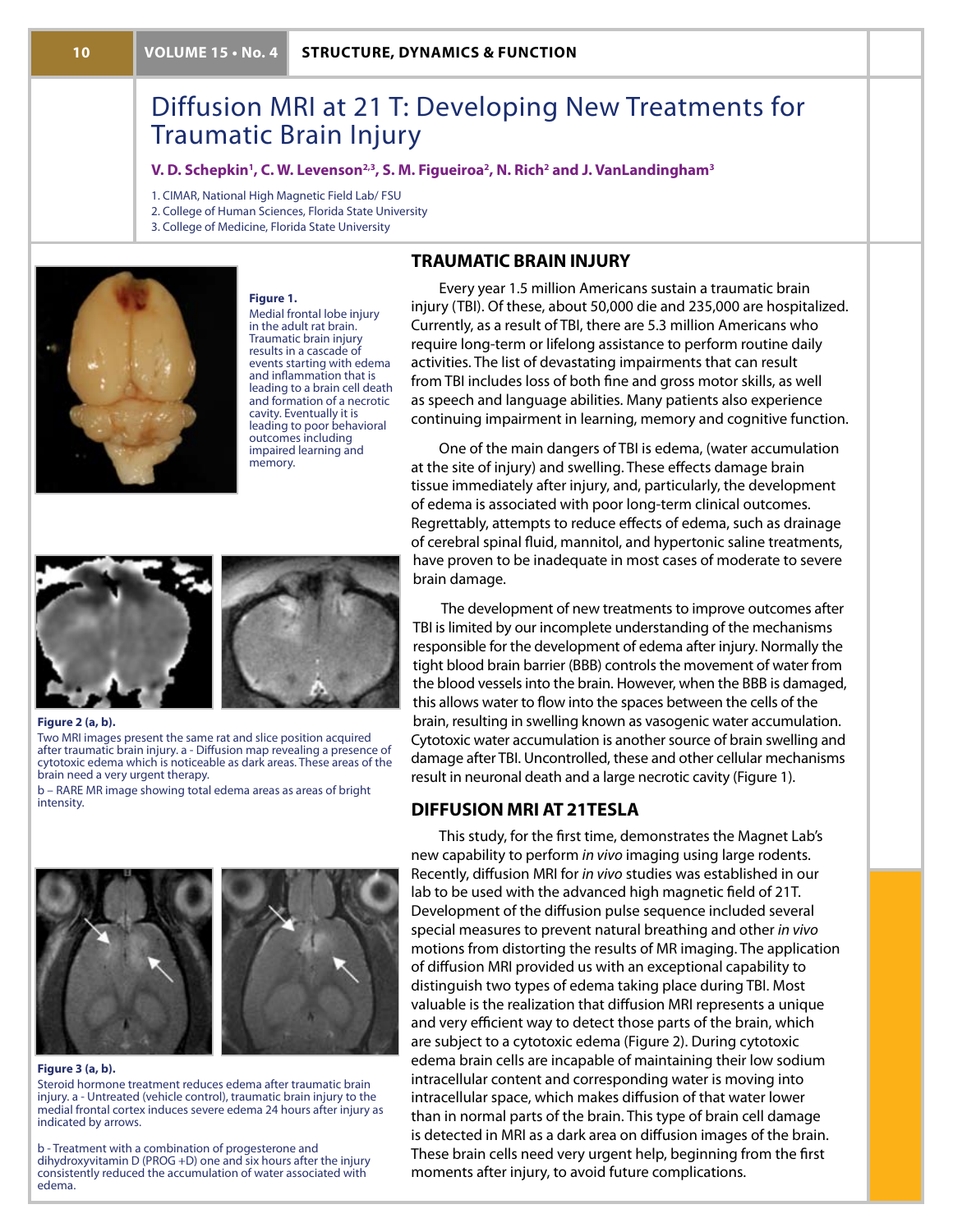# Diffusion MRI at 21 T: Developing New Treatments for Traumatic Brain Injury

#### **V. D. Schepkin', C. W. Levenson<sup>2,3</sup>, S. M. Figueiroa<sup>2</sup>, N. Rich<sup>2</sup> and J. VanLandingham<sup>3</sup>**

1. CIMAR, National High Magnetic Field Lab/ FSU

2. College of Human Sciences, Florida State University

3. College of Medicine, Florida State University



#### **Figure 1.**

Medial frontal lobe injury in the adult rat brain. Traumatic brain injury results in a cascade of events starting with edema and inflammation that is leading to a brain cell death and formation of a necrotic cavity. Eventually it is leading to poor behavioral outcomes including impaired learning and memory.

### **Traumatic Brain Injury**

Every year 1.5 million Americans sustain a traumatic brain injury (TBI). Of these, about 50,000 die and 235,000 are hospitalized. Currently, as a result of TBI, there are 5.3 million Americans who require long-term or lifelong assistance to perform routine daily activities. The list of devastating impairments that can result from TBI includes loss of both fine and gross motor skills, as well as speech and language abilities. Many patients also experience continuing impairment in learning, memory and cognitive function.

One of the main dangers of TBI is edema, (water accumulation at the site of injury) and swelling. These effects damage brain tissue immediately after injury, and, particularly, the development of edema is associated with poor long-term clinical outcomes. Regrettably, attempts to reduce effects of edema, such as drainage of cerebral spinal fluid, mannitol, and hypertonic saline treatments, have proven to be inadequate in most cases of moderate to severe brain damage.

The development of new treatments to improve outcomes after TBI is limited by our incomplete understanding of the mechanisms responsible for the development of edema after injury. Normally the tight blood brain barrier (BBB) controls the movement of water from the blood vessels into the brain. However, when the BBB is damaged, this allows water to flow into the spaces between the cells of the brain, resulting in swelling known as vasogenic water accumulation. Cytotoxic water accumulation is another source of brain swelling and damage after TBI. Uncontrolled, these and other cellular mechanisms result in neuronal death and a large necrotic cavity (Figure 1).

## **Diffusion MRI at 21Tesla**

This study, for the first time, demonstrates the Magnet Lab's new capability to perform *in vivo* imaging using large rodents. Recently, diffusion MRI for *in vivo* studies was established in our lab to be used with the advanced high magnetic field of 21T. Development of the diffusion pulse sequence included several special measures to prevent natural breathing and other *in vivo* motions from distorting the results of MR imaging. The application of diffusion MRI provided us with an exceptional capability to distinguish two types of edema taking place during TBI. Most valuable is the realization that diffusion MRI represents a unique and very efficient way to detect those parts of the brain, which are subject to a cytotoxic edema (Figure 2). During cytotoxic edema brain cells are incapable of maintaining their low sodium intracellular content and corresponding water is moving into intracellular space, which makes diffusion of that water lower than in normal parts of the brain. This type of brain cell damage is detected in MRI as a dark area on diffusion images of the brain. These brain cells need very urgent help, beginning from the first moments after injury, to avoid future complications.

#### **Figure 2 (a, b).**

Two MRI images present the same rat and slice position acquired after traumatic brain injury. a - Diffusion map revealing a presence of cytotoxic edema which is noticeable as dark areas. These areas of the brain need a very urgent therapy.

b – RARE MR image showing total edema areas as areas of bright intensity.





#### **Figure 3 (a, b).**

Steroid hormone treatment reduces edema after traumatic brain injury. a - Untreated (vehicle control), traumatic brain injury to the medial frontal cortex induces severe edema 24 hours after injury as indicated by arrows.

b - Treatment with a combination of progesterone and dihydroxyvitamin D (PROG +D) one and six hours after the injury consistently reduced the accumulation of water associated with edema.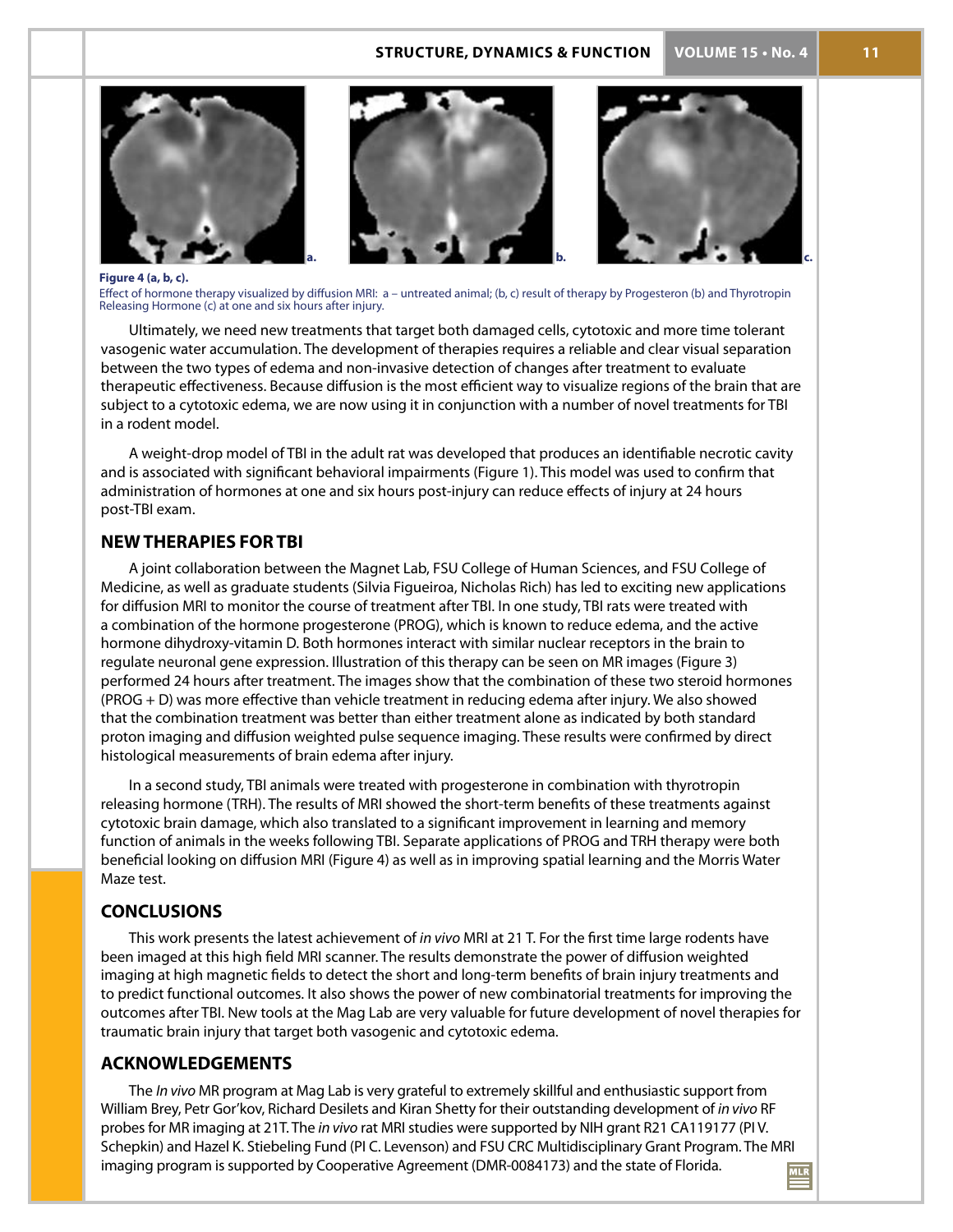### **structure, Dynamics & function VOLUME 15 • No. 4 11**







**Figure 4 (a, b, c).**

Effect of hormone therapy visualized by diffusion MRI: a – untreated animal; (b, c) result of therapy by Progesteron (b) and Thyrotropin Releasing Hormone (c) at one and six hours after injury.

Ultimately, we need new treatments that target both damaged cells, cytotoxic and more time tolerant vasogenic water accumulation. The development of therapies requires a reliable and clear visual separation between the two types of edema and non-invasive detection of changes after treatment to evaluate therapeutic effectiveness. Because diffusion is the most efficient way to visualize regions of the brain that are subject to a cytotoxic edema, we are now using it in conjunction with a number of novel treatments for TBI in a rodent model.

A weight-drop model of TBI in the adult rat was developed that produces an identifiable necrotic cavity and is associated with significant behavioral impairments (Figure 1). This model was used to confirm that administration of hormones at one and six hours post-injury can reduce effects of injury at 24 hours post-TBI exam.

### **New Therapies for TBI**

A joint collaboration between the Magnet Lab, FSU College of Human Sciences, and FSU College of Medicine, as well as graduate students (Silvia Figueiroa, Nicholas Rich) has led to exciting new applications for diffusion MRI to monitor the course of treatment after TBI. In one study, TBI rats were treated with a combination of the hormone progesterone (PROG), which is known to reduce edema, and the active hormone dihydroxy-vitamin D. Both hormones interact with similar nuclear receptors in the brain to regulate neuronal gene expression. Illustration of this therapy can be seen on MR images (Figure 3) performed 24 hours after treatment. The images show that the combination of these two steroid hormones (PROG + D) was more effective than vehicle treatment in reducing edema after injury. We also showed that the combination treatment was better than either treatment alone as indicated by both standard proton imaging and diffusion weighted pulse sequence imaging. These results were confirmed by direct histological measurements of brain edema after injury.

In a second study, TBI animals were treated with progesterone in combination with thyrotropin releasing hormone (TRH). The results of MRI showed the short-term benefits of these treatments against cytotoxic brain damage, which also translated to a significant improvement in learning and memory function of animals in the weeks following TBI. Separate applications of PROG and TRH therapy were both beneficial looking on diffusion MRI (Figure 4) as well as in improving spatial learning and the Morris Water Maze test.

# **Conclusions**

This work presents the latest achievement of *in vivo* MRI at 21 T. For the first time large rodents have been imaged at this high field MRI scanner. The results demonstrate the power of diffusion weighted imaging at high magnetic fields to detect the short and long-term benefits of brain injury treatments and to predict functional outcomes. It also shows the power of new combinatorial treatments for improving the outcomes after TBI. New tools at the Mag Lab are very valuable for future development of novel therapies for traumatic brain injury that target both vasogenic and cytotoxic edema.

## **Acknowledgements**

The *In vivo* MR program at Mag Lab is very grateful to extremely skillful and enthusiastic support from William Brey, Petr Gor'kov, Richard Desilets and Kiran Shetty for their outstanding development of *in vivo* RF probes for MR imaging at 21T. The *in vivo* rat MRI studies were supported by NIH grant R21 CA119177 (PI V. Schepkin) and Hazel K. Stiebeling Fund (PI C. Levenson) and FSU CRC Multidisciplinary Grant Program. The MRI imaging program is supported by Cooperative Agreement (DMR-0084173) and the state of Florida.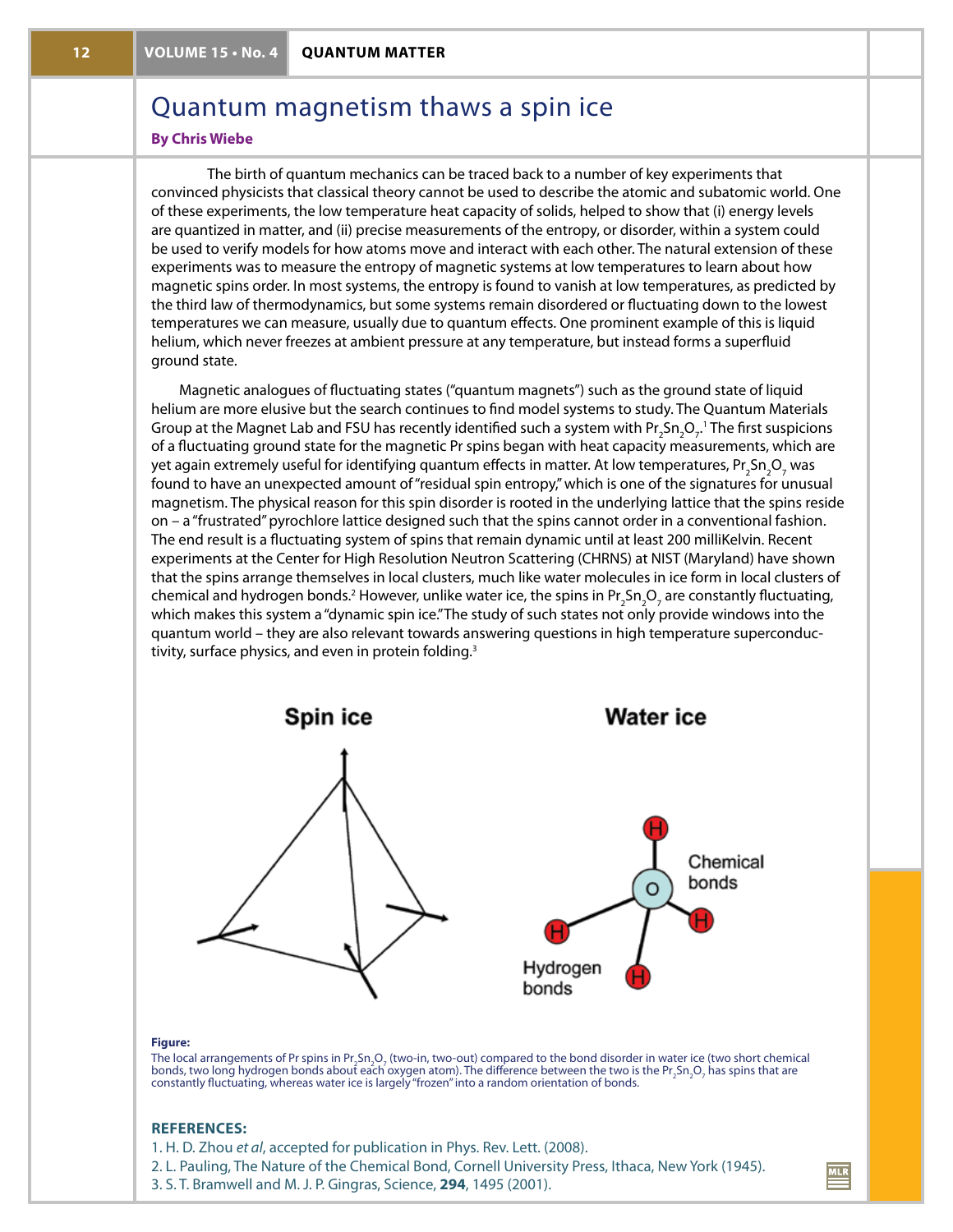# Quantum magnetism thaws a spin ice

### **By Chris Wiebe**

The birth of quantum mechanics can be traced back to a number of key experiments that convinced physicists that classical theory cannot be used to describe the atomic and subatomic world. One of these experiments, the low temperature heat capacity of solids, helped to show that (i) energy levels are quantized in matter, and (ii) precise measurements of the entropy, or disorder, within a system could be used to verify models for how atoms move and interact with each other. The natural extension of these experiments was to measure the entropy of magnetic systems at low temperatures to learn about how magnetic spins order. In most systems, the entropy is found to vanish at low temperatures, as predicted by the third law of thermodynamics, but some systems remain disordered or fluctuating down to the lowest temperatures we can measure, usually due to quantum effects. One prominent example of this is liquid helium, which never freezes at ambient pressure at any temperature, but instead forms a superfluid ground state.

Magnetic analogues of fluctuating states ("quantum magnets") such as the ground state of liquid helium are more elusive but the search continues to find model systems to study. The Quantum Materials Group at the Magnet Lab and FSU has recently identified such a system with Pr<sub>2</sub>Sn<sub>2</sub>O<sub>7</sub>.' The first suspicions of a fluctuating ground state for the magnetic Pr spins began with heat capacity measurements, which are yet again extremely useful for identifying quantum effects in matter. At low temperatures, Pr<sub>2</sub>Sn<sub>2</sub>O<sub>7</sub> was found to have an unexpected amount of "residual spin entropy," which is one of the signatures for unusual magnetism. The physical reason for this spin disorder is rooted in the underlying lattice that the spins reside on – a "frustrated" pyrochlore lattice designed such that the spins cannot order in a conventional fashion. The end result is a fluctuating system of spins that remain dynamic until at least 200 milliKelvin. Recent experiments at the Center for High Resolution Neutron Scattering (CHRNS) at NIST (Maryland) have shown that the spins arrange themselves in local clusters, much like water molecules in ice form in local clusters of chemical and hydrogen bonds.<sup>2</sup> However, unlike water ice, the spins in Pr<sub>2</sub>Sn<sub>2</sub>O<sub>7</sub> are constantly fluctuating, which makes this system a "dynamic spin ice."The study of such states not only provide windows into the quantum world – they are also relevant towards answering questions in high temperature superconductivity, surface physics, and even in protein folding.<sup>3</sup>



#### **Figure:**

The local arrangements of Pr spins in Pr<sub>2</sub>Sn<sub>2</sub>O<sub>2</sub> (two-in, two-out) compared to the bond disorder in water ice (two short chemical bonds, two long hydrogen bonds about each oxygen atom). The difference between the two is the Pr $_2$ Sn $_2$ O, has spins that are constantly fluctuating, whereas water ice is largely "frozen" into a random orientation of bonds.

#### **References:**

- 1. H. D. Zhou *et al*, accepted for publication in Phys. Rev. Lett. (2008).
- 2. L. Pauling, The Nature of the Chemical Bond, Cornell University Press, Ithaca, New York (1945).
- 3. S. T. Bramwell and M. J. P. Gingras, Science, **294**, 1495 (2001).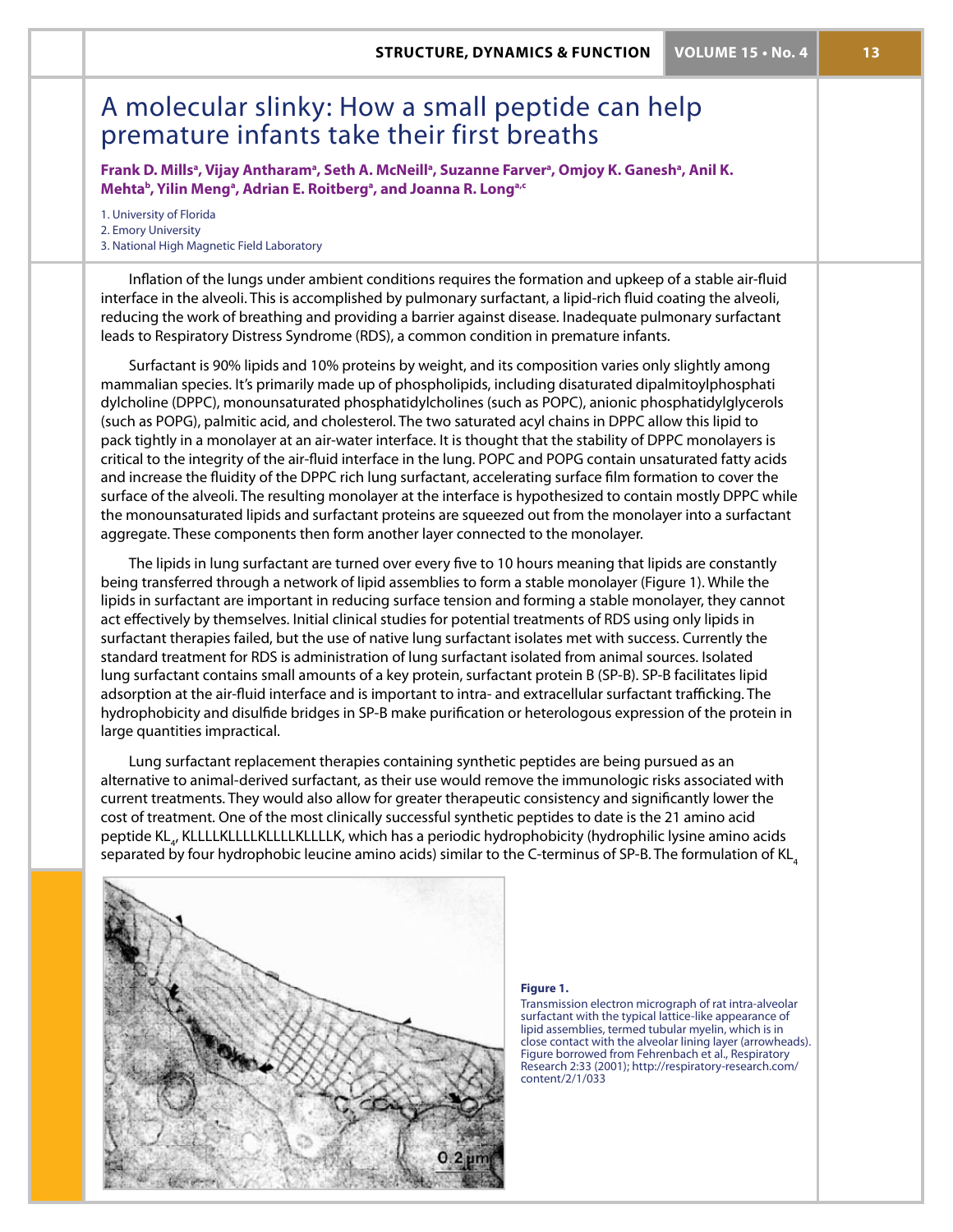# A molecular slinky: How a small peptide can help premature infants take their first breaths

Frank D. Mills<sup>a</sup>, Vijay Antharam<sup>a</sup>, Seth A. McNeill<sup>a</sup>, Suzanne Farver<sup>a</sup>, Omjoy K. Ganesh<sup>a</sup>, Anil K. **Mehta<sup>b</sup>, Yilin Meng<sup>a</sup>, Adrian E. Roitberg<sup>a</sup>, and Joanna R. Long<sup>a,c</sup>** 

1. University of Florida 2. Emory University 3. National High Magnetic Field Laboratory

Inflation of the lungs under ambient conditions requires the formation and upkeep of a stable air-fluid interface in the alveoli. This is accomplished by pulmonary surfactant, a lipid-rich fluid coating the alveoli, reducing the work of breathing and providing a barrier against disease. Inadequate pulmonary surfactant leads to Respiratory Distress Syndrome (RDS), a common condition in premature infants.

Surfactant is 90% lipids and 10% proteins by weight, and its composition varies only slightly among mammalian species. It's primarily made up of phospholipids, including disaturated dipalmitoylphosphati dylcholine (DPPC), monounsaturated phosphatidylcholines (such as POPC), anionic phosphatidylglycerols (such as POPG), palmitic acid, and cholesterol. The two saturated acyl chains in DPPC allow this lipid to pack tightly in a monolayer at an air-water interface. It is thought that the stability of DPPC monolayers is critical to the integrity of the air-fluid interface in the lung. POPC and POPG contain unsaturated fatty acids and increase the fluidity of the DPPC rich lung surfactant, accelerating surface film formation to cover the surface of the alveoli. The resulting monolayer at the interface is hypothesized to contain mostly DPPC while the monounsaturated lipids and surfactant proteins are squeezed out from the monolayer into a surfactant aggregate. These components then form another layer connected to the monolayer.

The lipids in lung surfactant are turned over every five to 10 hours meaning that lipids are constantly being transferred through a network of lipid assemblies to form a stable monolayer (Figure 1). While the lipids in surfactant are important in reducing surface tension and forming a stable monolayer, they cannot act effectively by themselves. Initial clinical studies for potential treatments of RDS using only lipids in surfactant therapies failed, but the use of native lung surfactant isolates met with success. Currently the standard treatment for RDS is administration of lung surfactant isolated from animal sources. Isolated lung surfactant contains small amounts of a key protein, surfactant protein B (SP-B). SP-B facilitates lipid adsorption at the air-fluid interface and is important to intra- and extracellular surfactant trafficking. The hydrophobicity and disulfide bridges in SP-B make purification or heterologous expression of the protein in large quantities impractical.

Lung surfactant replacement therapies containing synthetic peptides are being pursued as an alternative to animal-derived surfactant, as their use would remove the immunologic risks associated with current treatments. They would also allow for greater therapeutic consistency and significantly lower the cost of treatment. One of the most clinically successful synthetic peptides to date is the 21 amino acid peptide KL<sub>4</sub>, KLLLLKLLLLKLLLLKLLLLK, which has a periodic hydrophobicity (hydrophilic lysine amino acids separated by four hydrophobic leucine amino acids) similar to the C-terminus of SP-B. The formulation of KL<sub>4</sub>



#### **Figure 1.**

Transmission electron micrograph of rat intra-alveolar surfactant with the typical lattice-like appearance of lipid assemblies, termed tubular myelin, which is in close contact with the alveolar lining layer (arrowheads). Figure borrowed from Fehrenbach et al., Respiratory Research 2:33 (2001); http://respiratory-research.com/ content/2/1/033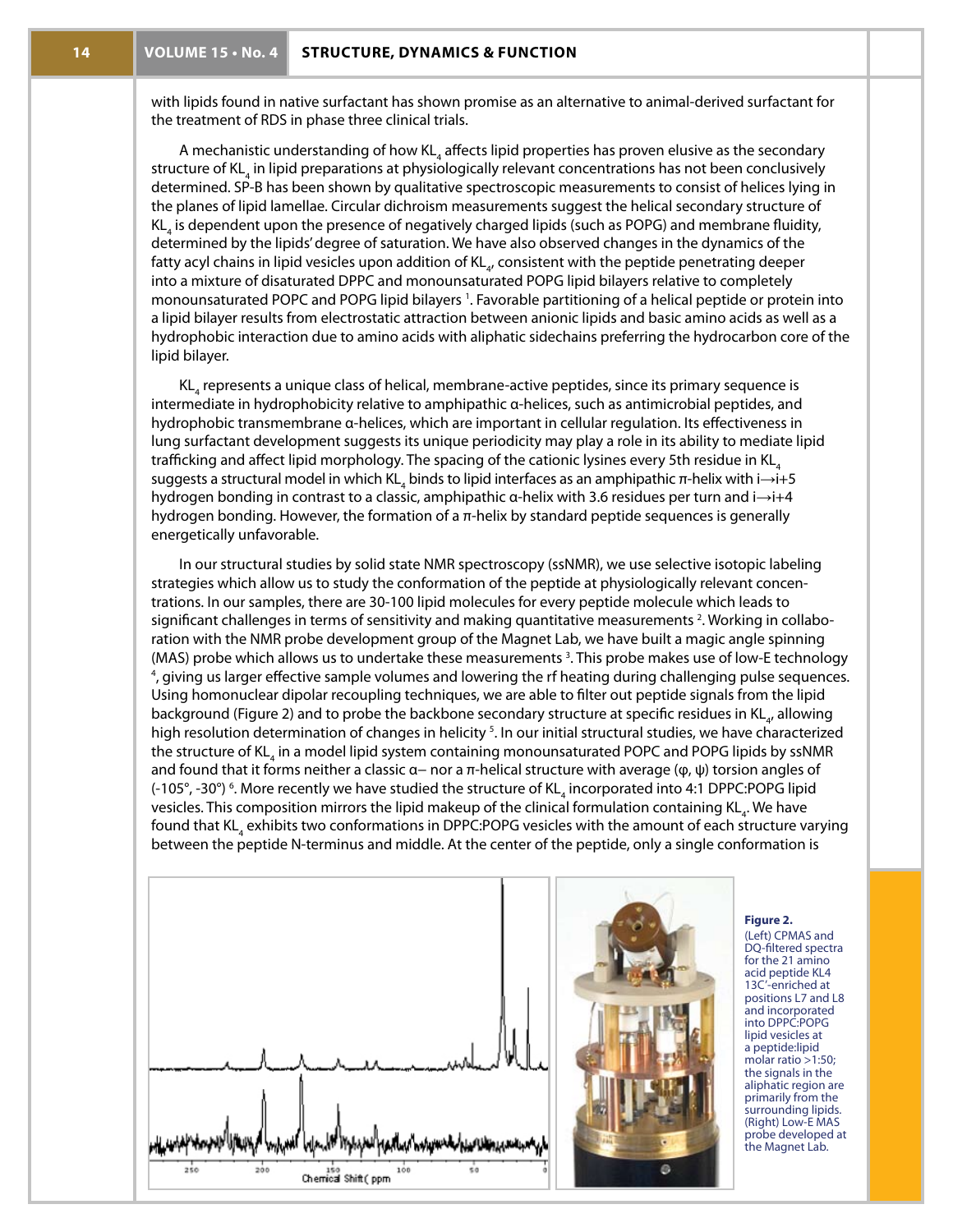with lipids found in native surfactant has shown promise as an alternative to animal-derived surfactant for the treatment of RDS in phase three clinical trials.

A mechanistic understanding of how KL<sub>4</sub> affects lipid properties has proven elusive as the secondary structure of KL<sub>4</sub> in lipid preparations at physiologically relevant concentrations has not been conclusively determined. SP-B has been shown by qualitative spectroscopic measurements to consist of helices lying in the planes of lipid lamellae. Circular dichroism measurements suggest the helical secondary structure of  $\mathsf{KL}_4$  is dependent upon the presence of negatively charged lipids (such as POPG) and membrane fluidity, determined by the lipids' degree of saturation. We have also observed changes in the dynamics of the fatty acyl chains in lipid vesicles upon addition of KL $_{\!a\!'}$  consistent with the peptide penetrating deeper into a mixture of disaturated DPPC and monounsaturated POPG lipid bilayers relative to completely monounsaturated POPC and POPG lipid bilayers 1 . Favorable partitioning of a helical peptide or protein into a lipid bilayer results from electrostatic attraction between anionic lipids and basic amino acids as well as a hydrophobic interaction due to amino acids with aliphatic sidechains preferring the hydrocarbon core of the lipid bilayer.

 $\mathsf{KL}_4$  represents a unique class of helical, membrane-active peptides, since its primary sequence is intermediate in hydrophobicity relative to amphipathic α-helices, such as antimicrobial peptides, and hydrophobic transmembrane α-helices, which are important in cellular regulation. Its effectiveness in lung surfactant development suggests its unique periodicity may play a role in its ability to mediate lipid trafficking and affect lipid morphology. The spacing of the cationic lysines every 5th residue in  $KL_4$ suggests a structural model in which KL<sub>4</sub> binds to lipid interfaces as an amphipathic π-helix with i→i+5 hydrogen bonding in contrast to a classic, amphipathic α-helix with 3.6 residues per turn and i→i+4 hydrogen bonding. However, the formation of a π-helix by standard peptide sequences is generally energetically unfavorable.

In our structural studies by solid state NMR spectroscopy (ssNMR), we use selective isotopic labeling strategies which allow us to study the conformation of the peptide at physiologically relevant concentrations. In our samples, there are 30-100 lipid molecules for every peptide molecule which leads to significant challenges in terms of sensitivity and making quantitative measurements <sup>2</sup>. Working in collaboration with the NMR probe development group of the Magnet Lab, we have built a magic angle spinning (MAS) probe which allows us to undertake these measurements <sup>3</sup>. This probe makes use of low-E technology<br><sup>4</sup> giving us larger effective sample volumes and lowering the rf heating during challenging pulse sequences. <sup>4</sup>, giving us larger effective sample volumes and lowering the rf heating during challenging pulse sequences. Using homonuclear dipolar recoupling techniques, we are able to filter out peptide signals from the lipid background (Figure 2) and to probe the backbone secondary structure at specific residues in KL<sub>4</sub>, allowing high resolution determination of changes in helicity <sup>5</sup>. In our initial structural studies, we have characterized the structure of KL<sub>4</sub> in a model lipid system containing monounsaturated POPC and POPG lipids by ssNMR and found that it forms neither a classic  $\alpha-$  nor a  $\pi$ -helical structure with average ( $\varphi$ ,  $\psi$ ) torsion angles of (-105°, -30°) <sup>6</sup>. More recently we have studied the structure of KL<sub>4</sub> incorporated into 4:1 DPPC:POPG lipid vesicles. This composition mirrors the lipid makeup of the clinical formulation containing KL<sub>4</sub>. We have found that KL<sub>4</sub> exhibits two conformations in DPPC:POPG vesicles with the amount of each structure varying between the peptide N-terminus and middle. At the center of the peptide, only a single conformation is





#### **Figure 2.**

(Left) CPMAS and DQ-filtered spectra for the 21 amino acid peptide KL4 13C'-enriched at positions L7 and L8 and incorporated into DPPC:POPG lipid vesicles at a peptide:lipid molar ratio  $>1:50$ ; the signals in the aliphatic region are primarily from the surrounding lipids. (Right) Low-E MAS probe developed at the Magnet Lab.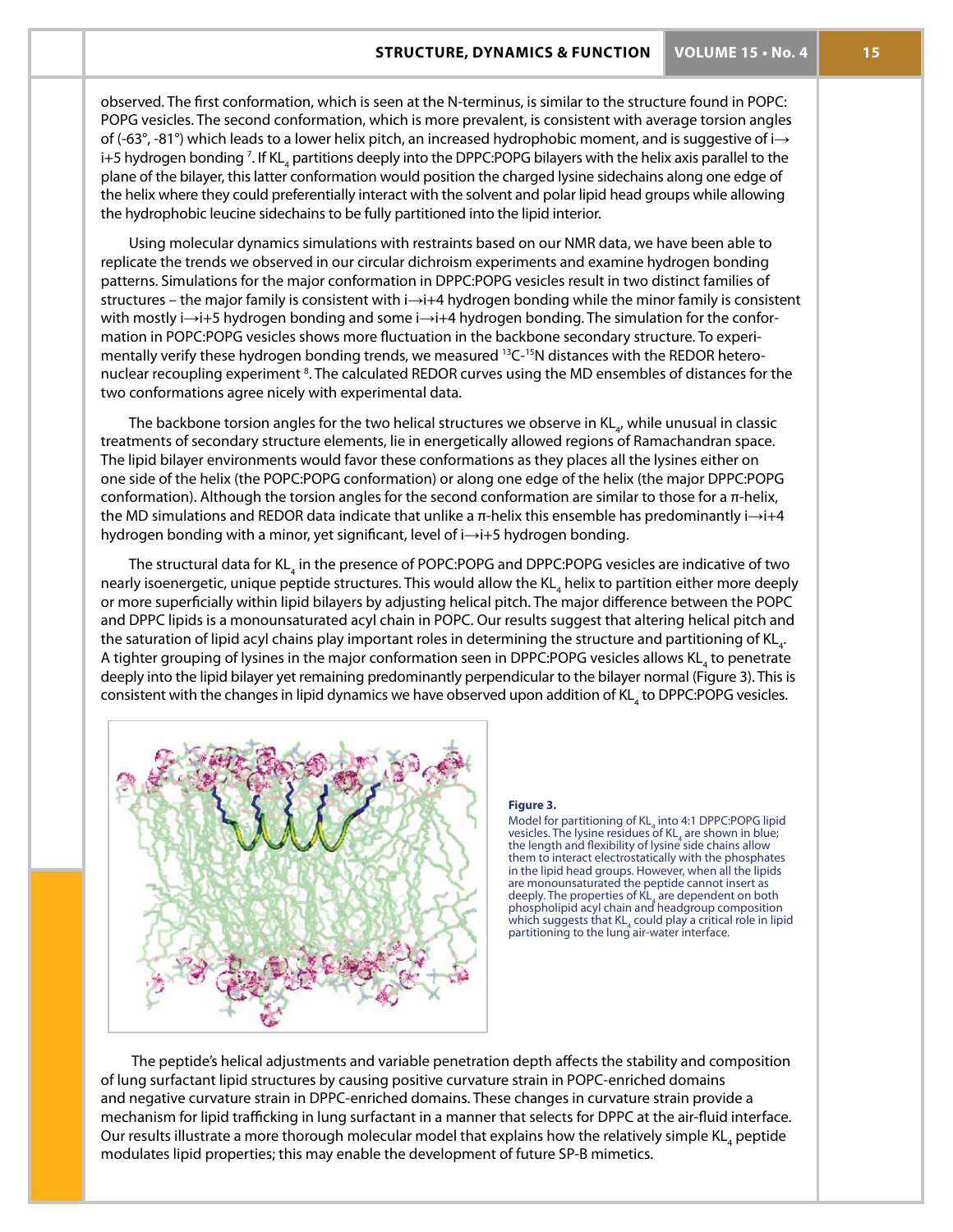observed. The first conformation, which is seen at the N-terminus, is similar to the structure found in POPC: POPG vesicles. The second conformation, which is more prevalent, is consistent with average torsion angles of (-63°, -81°) which leads to a lower helix pitch, an increased hydrophobic moment, and is suggestive of i $\rightarrow$ i+5 hydrogen bonding <sup>7</sup>. If KL<sub>4</sub> partitions deeply into the DPPC:POPG bilayers with the helix axis parallel to the plane of the bilayer, this latter conformation would position the charged lysine sidechains along one edge of the helix where they could preferentially interact with the solvent and polar lipid head groups while allowing the hydrophobic leucine sidechains to be fully partitioned into the lipid interior.

Using molecular dynamics simulations with restraints based on our NMR data, we have been able to replicate the trends we observed in our circular dichroism experiments and examine hydrogen bonding patterns. Simulations for the major conformation in DPPC:POPG vesicles result in two distinct families of structures – the major family is consistent with i→i+4 hydrogen bonding while the minor family is consistent with mostly i→i+5 hydrogen bonding and some i→i+4 hydrogen bonding. The simulation for the conformation in POPC:POPG vesicles shows more fluctuation in the backbone secondary structure. To experimentally verify these hydrogen bonding trends, we measured <sup>13</sup>C-<sup>15</sup>N distances with the REDOR heteronuclear recoupling experiment <sup>8</sup>. The calculated REDOR curves using the MD ensembles of distances for the two conformations agree nicely with experimental data.

The backbone torsion angles for the two helical structures we observe in KL $_{\!a\!r}$  while unusual in classic treatments of secondary structure elements, lie in energetically allowed regions of Ramachandran space. The lipid bilayer environments would favor these conformations as they places all the lysines either on one side of the helix (the POPC:POPG conformation) or along one edge of the helix (the major DPPC:POPG conformation). Although the torsion angles for the second conformation are similar to those for a π-helix, the MD simulations and REDOR data indicate that unlike a π-helix this ensemble has predominantly i→i+4 hydrogen bonding with a minor, yet significant, level of i→i+5 hydrogen bonding.

The structural data for KL<sub>4</sub> in the presence of POPC:POPG and DPPC:POPG vesicles are indicative of two nearly isoenergetic, unique peptide structures. This would allow the KL<sub>4</sub> helix to partition either more deeply or more superficially within lipid bilayers by adjusting helical pitch. The major difference between the POPC and DPPC lipids is a monounsaturated acyl chain in POPC. Our results suggest that altering helical pitch and the saturation of lipid acyl chains play important roles in determining the structure and partitioning of KL $_{\textrm{\tiny{4}}}$ . A tighter grouping of lysines in the major conformation seen in DPPC:POPG vesicles allows KL<sub>4</sub> to penetrate deeply into the lipid bilayer yet remaining predominantly perpendicular to the bilayer normal (Figure 3). This is consistent with the changes in lipid dynamics we have observed upon addition of KL<sub>4</sub> to DPPC:POPG vesicles.



#### **Figure 3.**

Model for partitioning of  $KL_4$  into 4:1 DPPC:POPG lipid vesicles. The lysine residues of  $KL_4$  are shown in blue; the length and flexibility of lysine side chains allow them to interact electrostatically with the phosphates in the lipid head groups. However, when all the lipids are monounsaturated the peptide cannot insert as deeply. The properties of KL<sub>4</sub> are dependent on both phospholipid acyl chain and headgroup composition which suggests that  $\mathsf{KL}_4$  could play a critical role in lipid partitioning to the lung air-water interface.

 The peptide's helical adjustments and variable penetration depth affects the stability and composition of lung surfactant lipid structures by causing positive curvature strain in POPC-enriched domains and negative curvature strain in DPPC-enriched domains. These changes in curvature strain provide a mechanism for lipid trafficking in lung surfactant in a manner that selects for DPPC at the air-fluid interface. Our results illustrate a more thorough molecular model that explains how the relatively simple KL<sub>4</sub> peptide modulates lipid properties; this may enable the development of future SP-B mimetics.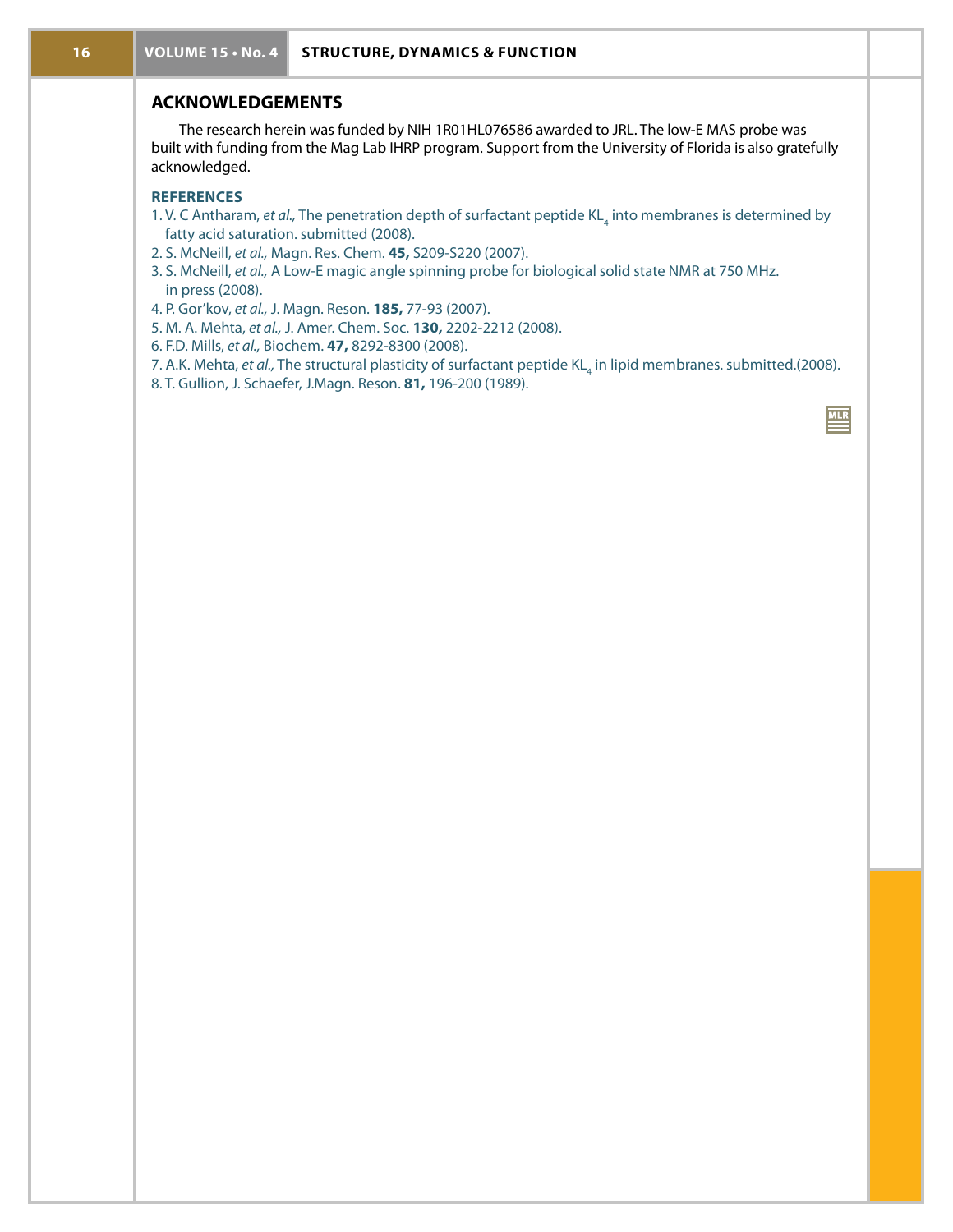## **ACKNOWLEDGEMENTS**

The research herein was funded by NIH 1R01HL076586 awarded to JRL. The low-E MAS probe was built with funding from the Mag Lab IHRP program. Support from the University of Florida is also gratefully acknowledged.

### **REFERENCES**

- 1. V. C Antharam, *et al.,* The penetration depth of surfactant peptide KL<sub>4</sub> into membranes is determined by fatty acid saturation. submitted (2008).
- 2. S. McNeill, *et al.,* Magn. Res. Chem. **45,** S209-S220 (2007).
- 3. S. McNeill, *et al.,* A Low-E magic angle spinning probe for biological solid state NMR at 750 MHz. in press (2008).
- 4. P. Gor'kov, *et al.,* J. Magn. Reson. **185,** 77-93 (2007).
- 5. M. A. Mehta, *et al.,* J. Amer. Chem. Soc. **130,** 2202-2212 (2008).
- 6. F.D. Mills, *et al.,* Biochem. **47,** 8292-8300 (2008).
- 7. A.K. Mehta, *et al.,* The structural plasticity of surfactant peptide KL<sub>4</sub> in lipid membranes. submitted.(2008).

 $\mathbf{M}$ 

8. T. Gullion, J. Schaefer, J.Magn. Reson. **81,** 196-200 (1989).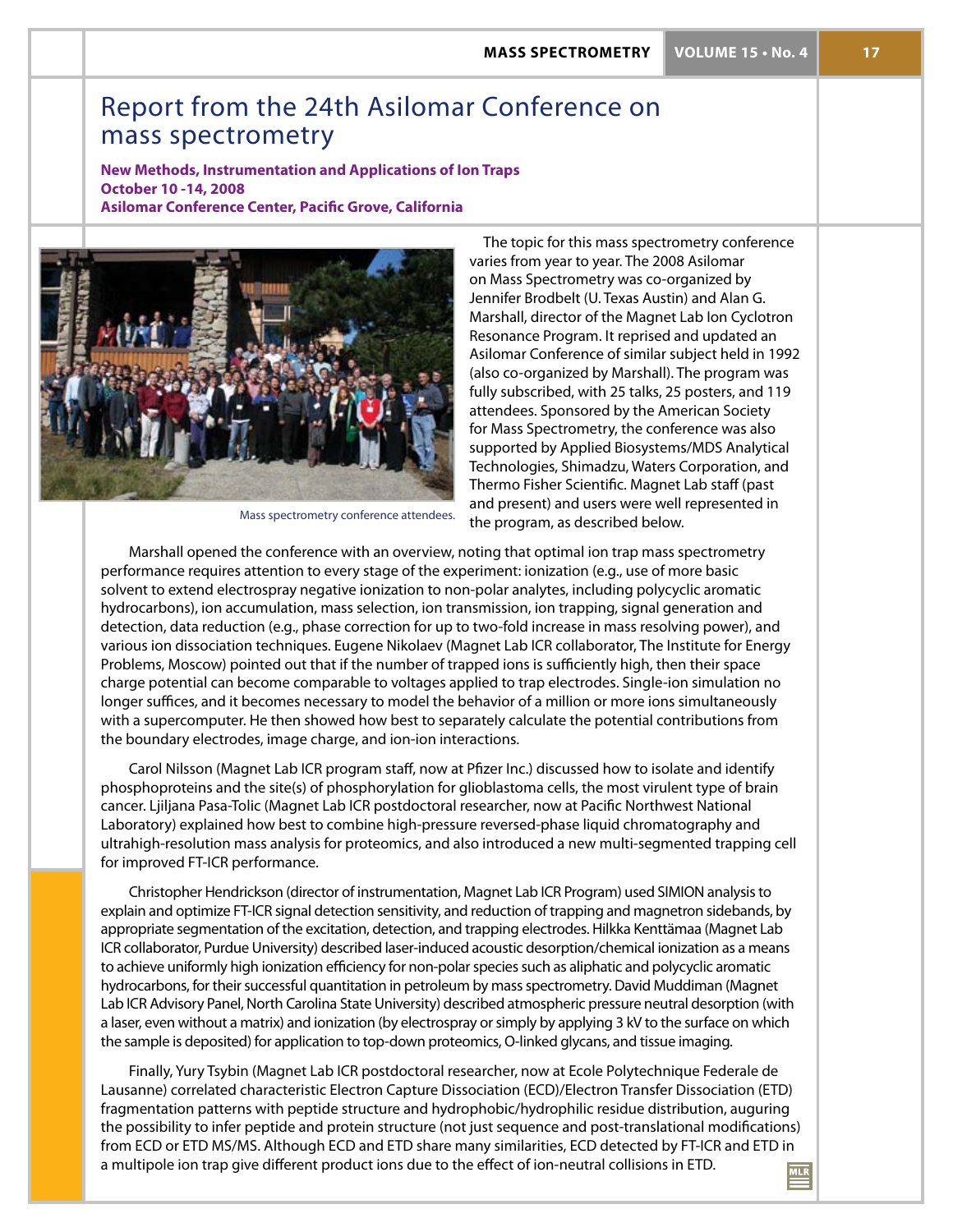**mass spectrometry VOLUME 15 • No. 4 17**

# Report from the 24th Asilomar Conference on mass spectrometry

**New Methods, Instrumentation and Applications of Ion Traps October 10 -14, 2008 Asilomar Conference Center, Pacific Grove, California**



Mass spectrometry conference attendees.

The topic for this mass spectrometry conference varies from year to year. The 2008 Asilomar on Mass Spectrometry was co-organized by Jennifer Brodbelt (U. Texas Austin) and Alan G. Marshall, director of the Magnet Lab Ion Cyclotron Resonance Program. It reprised and updated an Asilomar Conference of similar subject held in 1992 (also co-organized by Marshall). The program was fully subscribed, with 25 talks, 25 posters, and 119 attendees. Sponsored by the American Society for Mass Spectrometry, the conference was also supported by Applied Biosystems/MDS Analytical Technologies, Shimadzu, Waters Corporation, and Thermo Fisher Scientific. Magnet Lab staff (past and present) and users were well represented in the program, as described below.

Marshall opened the conference with an overview, noting that optimal ion trap mass spectrometry performance requires attention to every stage of the experiment: ionization (e.g., use of more basic solvent to extend electrospray negative ionization to non-polar analytes, including polycyclic aromatic hydrocarbons), ion accumulation, mass selection, ion transmission, ion trapping, signal generation and detection, data reduction (e.g., phase correction for up to two-fold increase in mass resolving power), and various ion dissociation techniques. Eugene Nikolaev (Magnet Lab ICR collaborator, The Institute for Energy Problems, Moscow) pointed out that if the number of trapped ions is sufficiently high, then their space charge potential can become comparable to voltages applied to trap electrodes. Single-ion simulation no longer suffices, and it becomes necessary to model the behavior of a million or more ions simultaneously with a supercomputer. He then showed how best to separately calculate the potential contributions from the boundary electrodes, image charge, and ion-ion interactions.

Carol Nilsson (Magnet Lab ICR program staff, now at Pfizer Inc.) discussed how to isolate and identify phosphoproteins and the site(s) of phosphorylation for glioblastoma cells, the most virulent type of brain cancer. Ljiljana Pasa-Tolic (Magnet Lab ICR postdoctoral researcher, now at Pacific Northwest National Laboratory) explained how best to combine high-pressure reversed-phase liquid chromatography and ultrahigh-resolution mass analysis for proteomics, and also introduced a new multi-segmented trapping cell for improved FT-ICR performance.

Christopher Hendrickson (director of instrumentation, Magnet Lab ICR Program) used SIMION analysis to explain and optimize FT-ICR signal detection sensitivity, and reduction of trapping and magnetron sidebands, by appropriate segmentation of the excitation, detection, and trapping electrodes. Hilkka Kenttämaa (Magnet Lab ICR collaborator, Purdue University) described laser-induced acoustic desorption/chemical ionization as a means to achieve uniformly high ionization efficiency for non-polar species such as aliphatic and polycyclic aromatic hydrocarbons, for their successful quantitation in petroleum by mass spectrometry. David Muddiman (Magnet Lab ICR Advisory Panel, North Carolina State University) described atmospheric pressure neutral desorption (with a laser, even without a matrix) and ionization (by electrospray or simply by applying 3 kV to the surface on which the sample is deposited) for application to top-down proteomics, O-linked glycans, and tissue imaging.

Finally, Yury Tsybin (Magnet Lab ICR postdoctoral researcher, now at Ecole Polytechnique Federale de Lausanne) correlated characteristic Electron Capture Dissociation (ECD)/Electron Transfer Dissociation (ETD) fragmentation patterns with peptide structure and hydrophobic/hydrophilic residue distribution, auguring the possibility to infer peptide and protein structure (not just sequence and post-translational modifications) from ECD or ETD MS/MS. Although ECD and ETD share many similarities, ECD detected by FT-ICR and ETD in a multipole ion trap give different product ions due to the effect of ion-neutral collisions in ETD.  $MLR$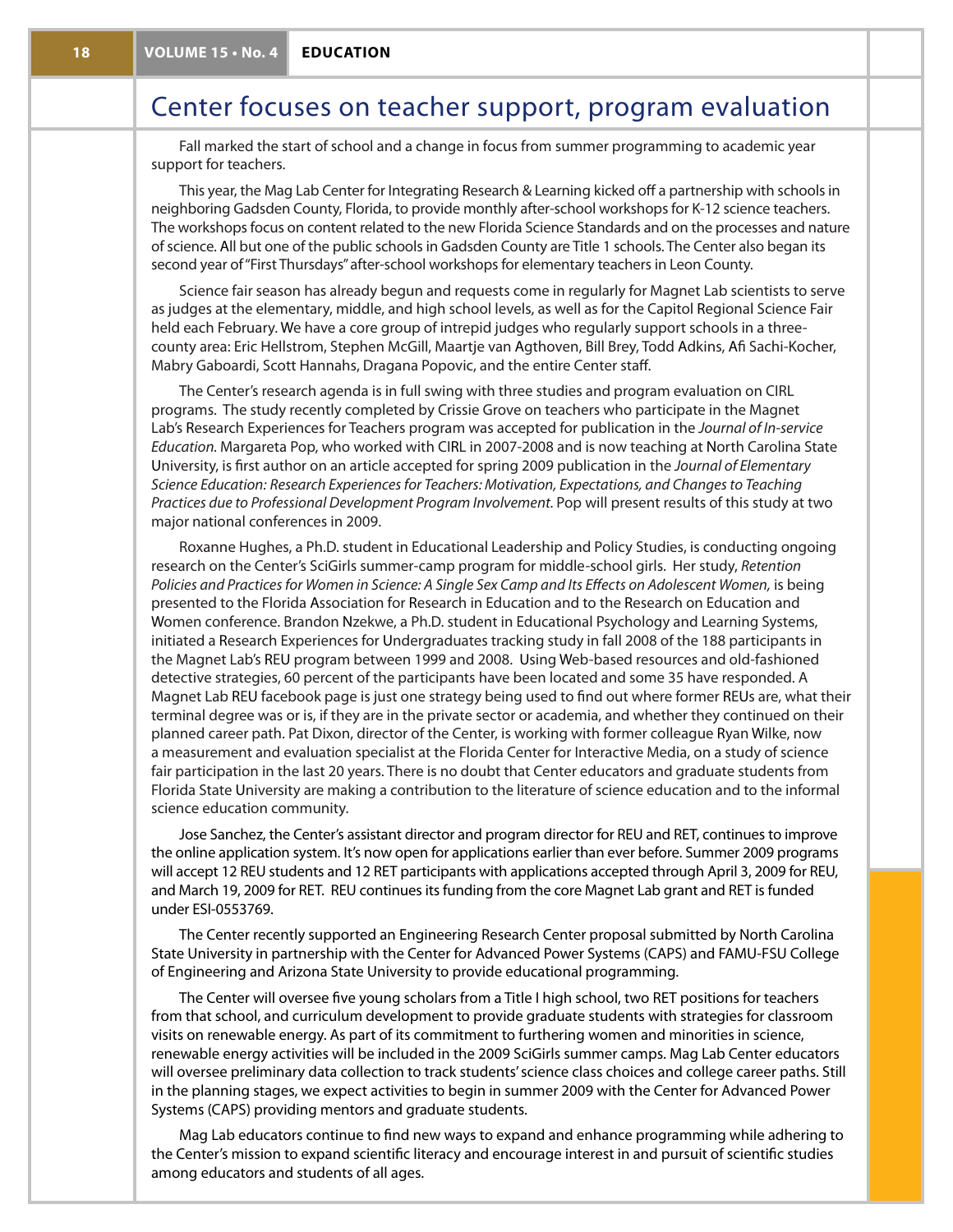# Center focuses on teacher support, program evaluation

Fall marked the start of school and a change in focus from summer programming to academic year support for teachers.

This year, the Mag Lab Center for Integrating Research & Learning kicked off a partnership with schools in neighboring Gadsden County, Florida, to provide monthly after-school workshops for K-12 science teachers. The workshops focus on content related to the new Florida Science Standards and on the processes and nature of science. All but one of the public schools in Gadsden County are Title 1 schools. The Center also began its second year of "First Thursdays" after-school workshops for elementary teachers in Leon County.

Science fair season has already begun and requests come in regularly for Magnet Lab scientists to serve as judges at the elementary, middle, and high school levels, as well as for the Capitol Regional Science Fair held each February. We have a core group of intrepid judges who regularly support schools in a threecounty area: Eric Hellstrom, Stephen McGill, Maartje van Agthoven, Bill Brey, Todd Adkins, Afi Sachi-Kocher, Mabry Gaboardi, Scott Hannahs, Dragana Popovic, and the entire Center staff.

The Center's research agenda is in full swing with three studies and program evaluation on CIRL programs. The study recently completed by Crissie Grove on teachers who participate in the Magnet Lab's Research Experiences for Teachers program was accepted for publication in the *Journal of In-service Education.* Margareta Pop, who worked with CIRL in 2007-2008 and is now teaching at North Carolina State University, is first author on an article accepted for spring 2009 publication in the *Journal of Elementary Science Education: Research Experiences for Teachers: Motivation, Expectations, and Changes to Teaching Practices due to Professional Development Program Involvement.* Pop will present results of this study at two major national conferences in 2009.

Roxanne Hughes, a Ph.D. student in Educational Leadership and Policy Studies, is conducting ongoing research on the Center's SciGirls summer-camp program for middle-school girls. Her study, *Retention Policies and Practices for Women in Science: A Single Sex Camp and Its Effects on Adolescent Women,* is being presented to the Florida Association for Research in Education and to the Research on Education and Women conference. Brandon Nzekwe, a Ph.D. student in Educational Psychology and Learning Systems, initiated a Research Experiences for Undergraduates tracking study in fall 2008 of the 188 participants in the Magnet Lab's REU program between 1999 and 2008. Using Web-based resources and old-fashioned detective strategies, 60 percent of the participants have been located and some 35 have responded. A Magnet Lab REU facebook page is just one strategy being used to find out where former REUs are, what their terminal degree was or is, if they are in the private sector or academia, and whether they continued on their planned career path. Pat Dixon, director of the Center, is working with former colleague Ryan Wilke, now a measurement and evaluation specialist at the Florida Center for Interactive Media, on a study of science fair participation in the last 20 years. There is no doubt that Center educators and graduate students from Florida State University are making a contribution to the literature of science education and to the informal science education community.

Jose Sanchez, the Center's assistant director and program director for REU and RET, continues to improve the online application system. It's now open for applications earlier than ever before. Summer 2009 programs will accept 12 REU students and 12 RET participants with applications accepted through April 3, 2009 for REU, and March 19, 2009 for RET. REU continues its funding from the core Magnet Lab grant and RET is funded under ESI-0553769.

The Center recently supported an Engineering Research Center proposal submitted by North Carolina State University in partnership with the Center for Advanced Power Systems (CAPS) and FAMU-FSU College of Engineering and Arizona State University to provide educational programming.

The Center will oversee five young scholars from a Title I high school, two RET positions for teachers from that school, and curriculum development to provide graduate students with strategies for classroom visits on renewable energy. As part of its commitment to furthering women and minorities in science, renewable energy activities will be included in the 2009 SciGirls summer camps. Mag Lab Center educators will oversee preliminary data collection to track students' science class choices and college career paths. Still in the planning stages, we expect activities to begin in summer 2009 with the Center for Advanced Power Systems (CAPS) providing mentors and graduate students.

Mag Lab educators continue to find new ways to expand and enhance programming while adhering to the Center's mission to expand scientific literacy and encourage interest in and pursuit of scientific studies among educators and students of all ages.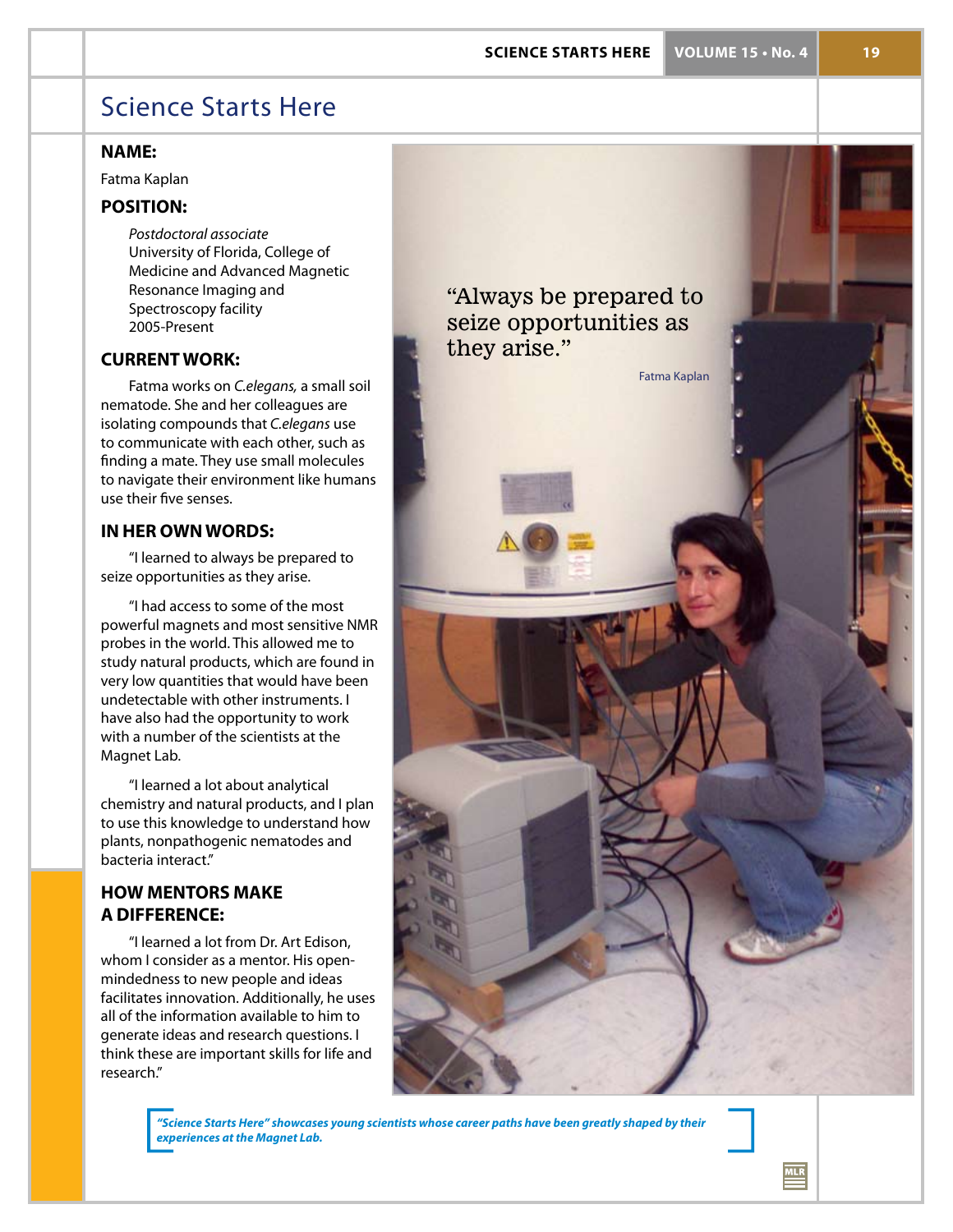**science starts here VOLUME 15 • No. 4 19**

 $MLR$ 

# Science Starts Here

# **name:**

Fatma Kaplan

# **Position:**

*Postdoctoral associate* University of Florida, College of Medicine and Advanced Magnetic Resonance Imaging and Spectroscopy facility 2005-Present

# **Currentwork:**

Fatma works on *C.elegans,* a small soil nematode. She and her colleagues are isolating compounds that *C.elegans* use to communicate with each other, such as finding a mate. They use small molecules to navigate their environment like humans use their five senses.

# **IN HER OWN WORDS:**

"I learned to always be prepared to seize opportunities as they arise.

"I had access to some of the most powerful magnets and most sensitive NMR probes in the world. This allowed me to study natural products, which are found in very low quantities that would have been undetectable with other instruments. I have also had the opportunity to work with a number of the scientists at the Magnet Lab.

"I learned a lot about analytical chemistry and natural products, and I plan to use this knowledge to understand how plants, nonpathogenic nematodes and bacteria interact."

# **HOW MENTORS MAKE A DIFFERENCE:**

"I learned a lot from Dr. Art Edison, whom I consider as a mentor. His openmindedness to new people and ideas facilitates innovation. Additionally, he uses all of the information available to him to generate ideas and research questions. I think these are important skills for life and research."



*"Science Starts Here" showcases young scientists whose career paths have been greatly shaped by their experiences at the Magnet Lab.*